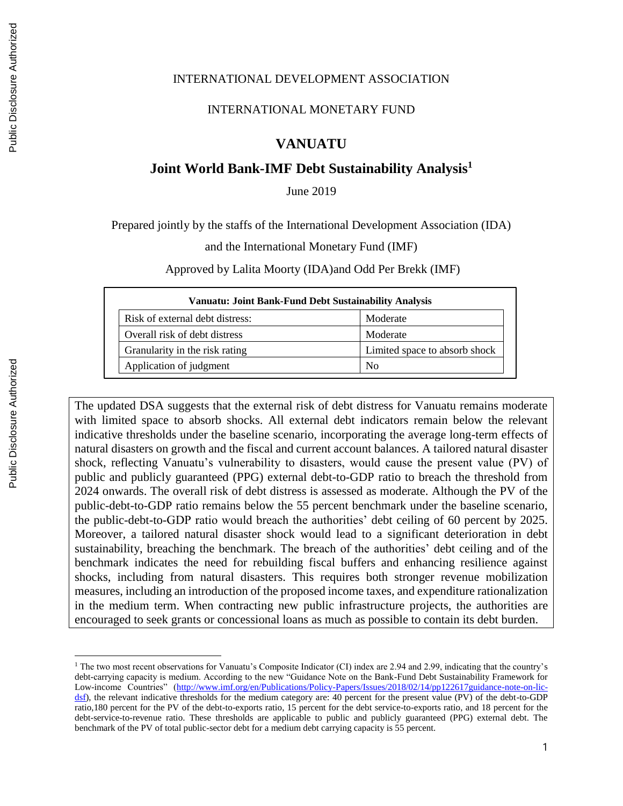#### INTERNATIONAL DEVELOPMENT ASSOCIATION

#### INTERNATIONAL MONETARY FUND

## **VANUATU**

## **Joint World Bank-IMF Debt Sustainability Analysis<sup>1</sup>**

June 2019

Prepared jointly by the staffs of the International Development Association (IDA)

and the International Monetary Fund (IMF)

Approved by Lalita Moorty (IDA)and Odd Per Brekk (IMF)

|                                 | <b>Vanuatu: Joint Bank-Fund Debt Sustainability Analysis</b> |  |  |  |  |  |  |  |  |  |  |
|---------------------------------|--------------------------------------------------------------|--|--|--|--|--|--|--|--|--|--|
| Risk of external debt distress: | Moderate                                                     |  |  |  |  |  |  |  |  |  |  |
| Overall risk of debt distress   | Moderate                                                     |  |  |  |  |  |  |  |  |  |  |
| Granularity in the risk rating  | Limited space to absorb shock                                |  |  |  |  |  |  |  |  |  |  |
| Application of judgment         | N <sub>0</sub>                                               |  |  |  |  |  |  |  |  |  |  |

The updated DSA suggests that the external risk of debt distress for Vanuatu remains moderate with limited space to absorb shocks. All external debt indicators remain below the relevant indicative thresholds under the baseline scenario, incorporating the average long-term effects of natural disasters on growth and the fiscal and current account balances. A tailored natural disaster shock, reflecting Vanuatu's vulnerability to disasters, would cause the present value (PV) of public and publicly guaranteed (PPG) external debt-to-GDP ratio to breach the threshold from 2024 onwards. The overall risk of debt distress is assessed as moderate. Although the PV of the public-debt-to-GDP ratio remains below the 55 percent benchmark under the baseline scenario, the public-debt-to-GDP ratio would breach the authorities' debt ceiling of 60 percent by 2025. Moreover, a tailored natural disaster shock would lead to a significant deterioration in debt sustainability, breaching the benchmark. The breach of the authorities' debt ceiling and of the benchmark indicates the need for rebuilding fiscal buffers and enhancing resilience against shocks, including from natural disasters. This requires both stronger revenue mobilization measures, including an introduction of the proposed income taxes, and expenditure rationalization in the medium term. When contracting new public infrastructure projects, the authorities are encouraged to seek grants or concessional loans as much as possible to contain its debt burden.

 $\overline{a}$ 

<sup>1</sup> The two most recent observations for Vanuatu's Composite Indicator (CI) index are 2.94 and 2.99, indicating that the country's debt-carrying capacity is medium. According to the new "Guidance Note on the Bank-Fund Debt Sustainability Framework for Low-income Countries" [\(http://www.imf.org/en/Publications/Policy-Papers/Issues/2018/02/14/pp122617guidance-note-on-lic](http://www.imf.org/en/Publications/Policy-Papers/Issues/2018/02/14/pp122617guidance-note-on-lic-dsf)[dsf\)](http://www.imf.org/en/Publications/Policy-Papers/Issues/2018/02/14/pp122617guidance-note-on-lic-dsf), the relevant indicative thresholds for the medium category are: 40 percent for the present value (PV) of the debt-to-GDP ratio,180 percent for the PV of the debt-to-exports ratio, 15 percent for the debt service-to-exports ratio, and 18 percent for the debt-service-to-revenue ratio. These thresholds are applicable to public and publicly guaranteed (PPG) external debt. The benchmark of the PV of total public-sector debt for a medium debt carrying capacity is 55 percent.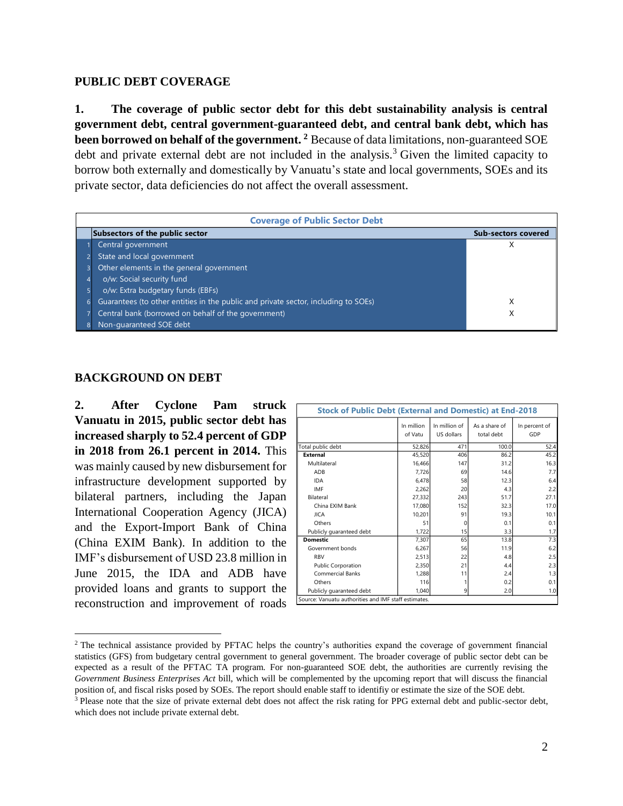#### **PUBLIC DEBT COVERAGE**

**1. The coverage of public sector debt for this debt sustainability analysis is central government debt, central government-guaranteed debt, and central bank debt, which has been borrowed on behalf of the government. <sup>2</sup>** Because of data limitations, non-guaranteed SOE debt and private external debt are not included in the analysis.<sup>3</sup> Given the limited capacity to borrow both externally and domestically by Vanuatu's state and local governments, SOEs and its private sector, data deficiencies do not affect the overall assessment.

| <b>Coverage of Public Sector Debt</b>                                              |                            |
|------------------------------------------------------------------------------------|----------------------------|
| Subsectors of the public sector                                                    | <b>Sub-sectors covered</b> |
| Central government                                                                 |                            |
| State and local government                                                         |                            |
| Other elements in the general government                                           |                            |
| o/w: Social security fund                                                          |                            |
| o/w: Extra budgetary funds (EBFs)                                                  |                            |
| Guarantees (to other entities in the public and private sector, including to SOEs) | X                          |
| Central bank (borrowed on behalf of the government)                                |                            |
| Non-guaranteed SOE debt                                                            |                            |

#### **BACKGROUND ON DEBT**

 $\overline{a}$ 

**2. After Cyclone Pam struck Vanuatu in 2015, public sector debt has increased sharply to 52.4 percent of GDP in 2018 from 26.1 percent in 2014.** This was mainly caused by new disbursement for infrastructure development supported by bilateral partners, including the Japan International Cooperation Agency (JICA) and the Export-Import Bank of China (China EXIM Bank). In addition to the IMF's disbursement of USD 23.8 million in June 2015, the IDA and ADB have provided loans and grants to support the reconstruction and improvement of roads

| <b>Stock of Public Debt (External and Domestic) at End-2018</b> |                       |                                    |                             |                      |
|-----------------------------------------------------------------|-----------------------|------------------------------------|-----------------------------|----------------------|
|                                                                 | In million<br>of Vatu | In million of<br><b>US dollars</b> | As a share of<br>total debt | In percent of<br>GDP |
| Total public debt                                               | 52,826                | 471                                | 100.0                       | 52.4                 |
| <b>External</b>                                                 | 45,520                | 406                                | 86.2                        | 45.2                 |
| Multilateral                                                    | 16.466                | 147                                | 31.2                        | 16.3                 |
| ADB                                                             | 7,726                 | 69                                 | 14.6                        | 7.7                  |
| <b>IDA</b>                                                      | 6,478                 | 58                                 | 12.3                        | 6.4                  |
| IMF                                                             | 2,262                 | 20                                 | 4.3                         | 2.2                  |
| Bilateral                                                       | 27,332                | 243                                | 51.7                        | 27.1                 |
| China EXIM Bank                                                 | 17,080                | 152                                | 32.3                        | 17.0                 |
| <b>JICA</b>                                                     | 10,201                | 91                                 | 19.3                        | 10.1                 |
| Others                                                          | 51                    | 0                                  | 0.1                         | 0.1                  |
| Publicly guaranteed debt                                        | 1,722                 | 15                                 | 3.3                         | 1.7                  |
| <b>Domestic</b>                                                 | 7,307                 | 65                                 | 13.8                        | 7.3                  |
| Government bonds                                                | 6,267                 | 56                                 | 11.9                        | 6.2                  |
| <b>RBV</b>                                                      | 2,513                 | 22                                 | 4.8                         | 2.5                  |
| <b>Public Corporation</b>                                       | 2,350                 | 21                                 | 4.4                         | 2.3                  |
| <b>Commercial Banks</b>                                         | 1,288                 | 11                                 | 2.4                         | 1.3                  |
| Others                                                          | 116                   |                                    | 0.2                         | 0.1                  |
| Publicly quaranteed debt                                        | 1,040                 | 9                                  | 2.0                         | 1.0                  |
| Source: Vanuatu authorities and IMF staff estimates.            |                       |                                    |                             |                      |

<sup>&</sup>lt;sup>2</sup> The technical assistance provided by PFTAC helps the country's authorities expand the coverage of government financial statistics (GFS) from budgetary central government to general government. The broader coverage of public sector debt can be expected as a result of the PFTAC TA program. For non-guaranteed SOE debt, the authorities are currently revising the *Government Business Enterprises Act* bill, which will be complemented by the upcoming report that will discuss the financial position of, and fiscal risks posed by SOEs. The report should enable staff to identifiy or estimate the size of the SOE debt.

 $3$  Please note that the size of private external debt does not affect the risk rating for PPG external debt and public-sector debt, which does not include private external debt.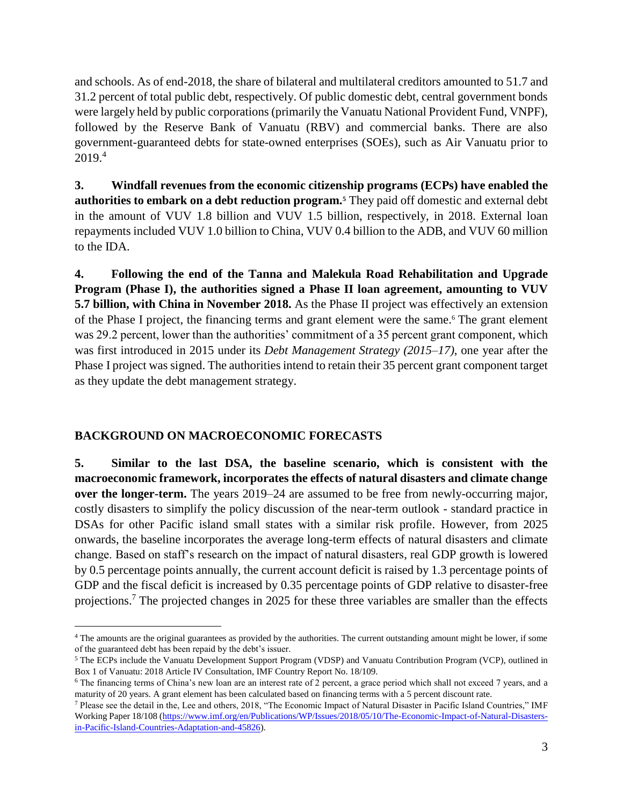and schools. As of end-2018, the share of bilateral and multilateral creditors amounted to 51.7 and 31.2 percent of total public debt, respectively. Of public domestic debt, central government bonds were largely held by public corporations (primarily the Vanuatu National Provident Fund, VNPF), followed by the Reserve Bank of Vanuatu (RBV) and commercial banks. There are also government-guaranteed debts for state-owned enterprises (SOEs), such as Air Vanuatu prior to 2019. 4

**3. Windfall revenues from the economic citizenship programs (ECPs) have enabled the authorities to embark on a debt reduction program.<sup>5</sup>** They paid off domestic and external debt in the amount of VUV 1.8 billion and VUV 1.5 billion, respectively, in 2018. External loan repayments included VUV 1.0 billion to China, VUV 0.4 billion to the ADB, and VUV 60 million to the IDA.

**4. Following the end of the Tanna and Malekula Road Rehabilitation and Upgrade Program (Phase I), the authorities signed a Phase II loan agreement, amounting to VUV 5.7 billion, with China in November 2018.** As the Phase II project was effectively an extension of the Phase I project, the financing terms and grant element were the same.<sup>6</sup> The grant element was 29.2 percent, lower than the authorities' commitment of a 35 percent grant component, which was first introduced in 2015 under its *Debt Management Strategy (2015–17)*, one year after the Phase I project was signed. The authorities intend to retain their 35 percent grant component target as they update the debt management strategy.

#### **BACKGROUND ON MACROECONOMIC FORECASTS**

 $\overline{a}$ 

**5. Similar to the last DSA, the baseline scenario, which is consistent with the macroeconomic framework, incorporates the effects of natural disasters and climate change over the longer-term.** The years 2019–24 are assumed to be free from newly-occurring major, costly disasters to simplify the policy discussion of the near-term outlook - standard practice in DSAs for other Pacific island small states with a similar risk profile. However, from 2025 onwards, the baseline incorporates the average long-term effects of natural disasters and climate change. Based on staff's research on the impact of natural disasters, real GDP growth is lowered by 0.5 percentage points annually, the current account deficit is raised by 1.3 percentage points of GDP and the fiscal deficit is increased by 0.35 percentage points of GDP relative to disaster-free projections.<sup>7</sup> The projected changes in 2025 for these three variables are smaller than the effects

<sup>4</sup> The amounts are the original guarantees as provided by the authorities. The current outstanding amount might be lower, if some of the guaranteed debt has been repaid by the debt's issuer.

<sup>5</sup> The ECPs include the Vanuatu Development Support Program (VDSP) and Vanuatu Contribution Program (VCP), outlined in Box 1 of Vanuatu: 2018 Article IV Consultation, IMF Country Report No. 18/109.

<sup>6</sup> The financing terms of China's new loan are an interest rate of 2 percent, a grace period which shall not exceed 7 years, and a maturity of 20 years. A grant element has been calculated based on financing terms with a 5 percent discount rate.

<sup>7</sup> Please see the detail in the, Lee and others, 2018, "The Economic Impact of Natural Disaster in Pacific Island Countries," IMF Working Paper 18/108 [\(https://www.imf.org/en/Publications/WP/Issues/2018/05/10/The-Economic-Impact-of-Natural-Disasters](https://www.imf.org/en/Publications/WP/Issues/2018/05/10/The-Economic-Impact-of-Natural-Disasters-in-Pacific-Island-Countries-Adaptation-and-45826)[in-Pacific-Island-Countries-Adaptation-and-45826\)](https://www.imf.org/en/Publications/WP/Issues/2018/05/10/The-Economic-Impact-of-Natural-Disasters-in-Pacific-Island-Countries-Adaptation-and-45826).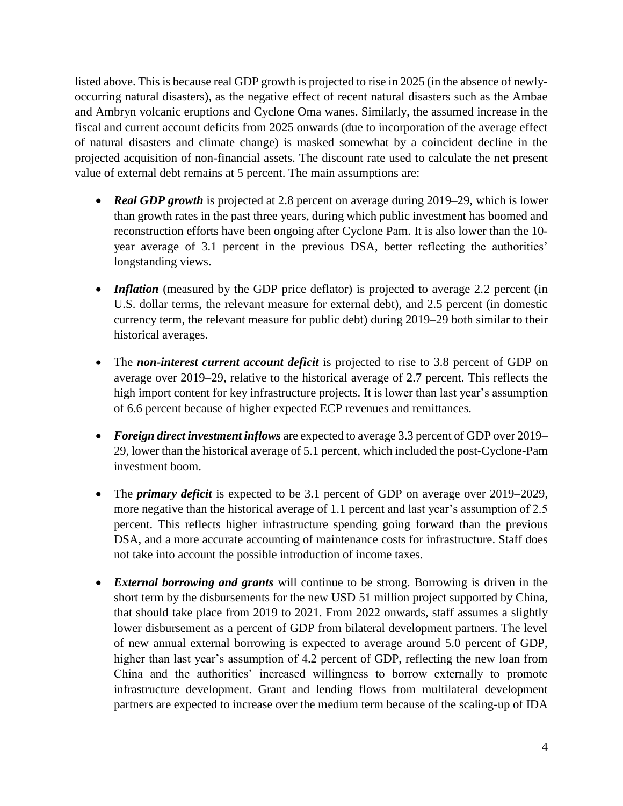listed above. This is because real GDP growth is projected to rise in 2025 (in the absence of newlyoccurring natural disasters), as the negative effect of recent natural disasters such as the Ambae and Ambryn volcanic eruptions and Cyclone Oma wanes. Similarly, the assumed increase in the fiscal and current account deficits from 2025 onwards (due to incorporation of the average effect of natural disasters and climate change) is masked somewhat by a coincident decline in the projected acquisition of non-financial assets. The discount rate used to calculate the net present value of external debt remains at 5 percent. The main assumptions are:

- *Real GDP growth* is projected at 2.8 percent on average during 2019–29, which is lower than growth rates in the past three years, during which public investment has boomed and reconstruction efforts have been ongoing after Cyclone Pam. It is also lower than the 10 year average of 3.1 percent in the previous DSA, better reflecting the authorities' longstanding views.
- *Inflation* (measured by the GDP price deflator) is projected to average 2.2 percent (in U.S. dollar terms, the relevant measure for external debt), and 2.5 percent (in domestic currency term, the relevant measure for public debt) during 2019–29 both similar to their historical averages.
- The *non-interest current account deficit* is projected to rise to 3.8 percent of GDP on average over 2019–29, relative to the historical average of 2.7 percent. This reflects the high import content for key infrastructure projects. It is lower than last year's assumption of 6.6 percent because of higher expected ECP revenues and remittances.
- *Foreign direct investment inflows* are expected to average 3.3 percent of GDP over 2019– 29, lower than the historical average of 5.1 percent, which included the post-Cyclone-Pam investment boom.
- The *primary deficit* is expected to be 3.1 percent of GDP on average over 2019–2029, more negative than the historical average of 1.1 percent and last year's assumption of 2.5 percent. This reflects higher infrastructure spending going forward than the previous DSA, and a more accurate accounting of maintenance costs for infrastructure. Staff does not take into account the possible introduction of income taxes.
- *External borrowing and grants* will continue to be strong. Borrowing is driven in the short term by the disbursements for the new USD 51 million project supported by China, that should take place from 2019 to 2021. From 2022 onwards, staff assumes a slightly lower disbursement as a percent of GDP from bilateral development partners. The level of new annual external borrowing is expected to average around 5.0 percent of GDP, higher than last year's assumption of 4.2 percent of GDP, reflecting the new loan from China and the authorities' increased willingness to borrow externally to promote infrastructure development. Grant and lending flows from multilateral development partners are expected to increase over the medium term because of the scaling-up of IDA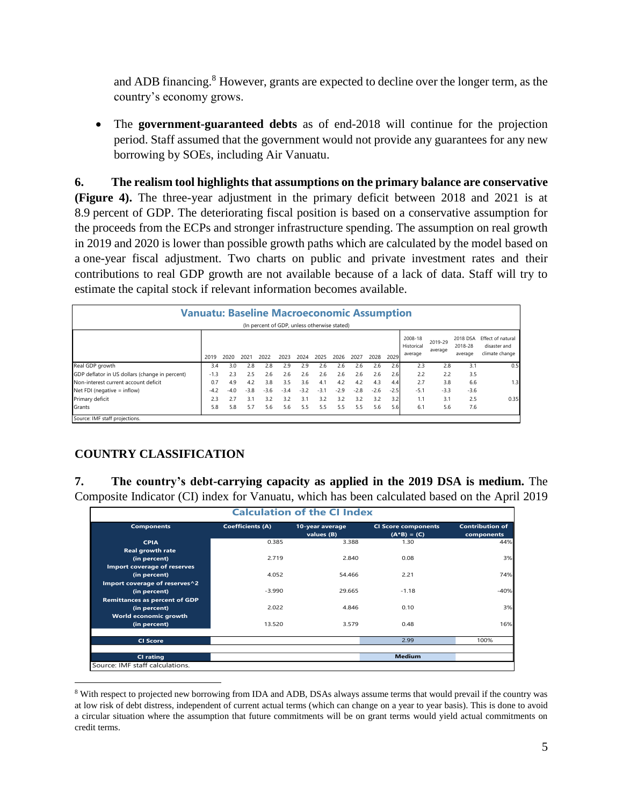and ADB financing.<sup>8</sup> However, grants are expected to decline over the longer term, as the country's economy grows.

• The **government-guaranteed debts** as of end-2018 will continue for the projection period. Staff assumed that the government would not provide any guarantees for any new borrowing by SOEs, including Air Vanuatu.

**6. The realism tool highlights that assumptions on the primary balance are conservative (Figure 4).** The three-year adjustment in the primary deficit between 2018 and 2021 is at 8.9 percent of GDP. The deteriorating fiscal position is based on a conservative assumption for the proceeds from the ECPs and stronger infrastructure spending. The assumption on real growth in 2019 and 2020 is lower than possible growth paths which are calculated by the model based on a one-year fiscal adjustment. Two charts on public and private investment rates and their contributions to real GDP growth are not available because of a lack of data. Staff will try to estimate the capital stock if relevant information becomes available.

| <b>Vanuatu: Baseline Macroeconomic Assumption</b> |        |        |        | (In percent of GDP, unless otherwise stated) |        |        |        |        |        |        |        |                                  |                    |                                |                                                     |
|---------------------------------------------------|--------|--------|--------|----------------------------------------------|--------|--------|--------|--------|--------|--------|--------|----------------------------------|--------------------|--------------------------------|-----------------------------------------------------|
|                                                   | 2019   | 2020   | 2021   | 2022                                         | 2023   | 2024   | 2025   | 2026   | 2027   | 2028   | 2029   | 2008-18<br>Historical<br>average | 2019-29<br>average | 2018 DSA<br>2018-28<br>average | Effect of natural<br>disaster and<br>climate change |
| Real GDP growth                                   | 3.4    | 3.0    | 2.8    | 2.8                                          | 2.9    | 2.9    | 2.6    | 2.6    | 2.6    | 2.6    | 2.6    | 2.3                              | 2.8                | 3.1                            | 0.5                                                 |
| GDP deflator in US dollars (change in percent)    | $-1.3$ | 2.3    | 2.5    | 2.6                                          | 2.6    | 2.6    | 2.6    | 2.6    | 2.6    | 2.6    | 2.6    | 2.2                              | 2.2                | 3.5                            |                                                     |
| Non-interest current account deficit              | 0.7    | 4.9    | 4.2    | 3.8                                          | 3.5    | 3.6    | 4.1    | 4.2    | 4.2    | 43     | 4.4    | 2.7                              | 3.8                | 6.6                            | 1.3                                                 |
| Net FDI (negative $=$ inflow)                     | $-4.2$ | $-4.0$ | $-3.8$ | $-3.6$                                       | $-3.4$ | $-3.2$ | $-3.1$ | $-2.9$ | $-2.8$ | $-2.6$ | $-2.5$ | $-5.1$                           | $-3.3$             | $-3.6$                         |                                                     |
| Primary deficit                                   | 2.3    | 2.7    | 3.1    | 3.2                                          | 3.2    | 3.1    | 3.2    | 3.2    | 3.2    | 3.2    | 3.2    | 1.1                              | 3.1                | 2.5                            | 0.35                                                |
| <b>Grants</b>                                     | 5.8    | 5.8    | 5.7    | 5.6                                          | 5.6    | 5.5    | 5.5    | 5.5    | 5.5    | 5.6    | 5.6    | 6.1                              | 5.6                | 7.6                            |                                                     |
| Source: IMF staff projections.                    |        |        |        |                                              |        |        |        |        |        |        |        |                                  |                    |                                |                                                     |

 $\overline{a}$ 

#### **COUNTRY CLASSIFICATION**

**7. The country's debt-carrying capacity as applied in the 2019 DSA is medium.** The Composite Indicator (CI) index for Vanuatu, which has been calculated based on the April 2019

|                                      |                         | <b>Calculation of the CI Index</b> |                                               |                                      |
|--------------------------------------|-------------------------|------------------------------------|-----------------------------------------------|--------------------------------------|
| <b>Components</b>                    | <b>Coefficients (A)</b> | 10-year average<br>values (B)      | <b>CI Score components</b><br>$(A * B) = (C)$ | <b>Contribution of</b><br>components |
| <b>CPIA</b>                          | 0.385                   | 3.388                              | 1.30                                          | 44%                                  |
| <b>Real growth rate</b>              |                         |                                    |                                               |                                      |
| (in percent)                         | 2.719                   | 2.840                              | 0.08                                          | 3%                                   |
| Import coverage of reserves          |                         |                                    |                                               |                                      |
| (in percent)                         | 4.052                   | 54.466                             | 2.21                                          | 74%                                  |
| Import coverage of reserves^2        |                         |                                    |                                               |                                      |
| (in percent)                         | $-3.990$                | 29.665                             | $-1.18$                                       | $-40%$                               |
| <b>Remittances as percent of GDP</b> |                         |                                    |                                               |                                      |
| (in percent)                         | 2.022                   | 4.846                              | 0.10                                          | 3%                                   |
| World economic growth                |                         |                                    |                                               |                                      |
| (in percent)                         | 13.520                  | 3.579                              | 0.48                                          | 16%                                  |
| <b>CI Score</b>                      |                         |                                    | 2.99                                          | 100%                                 |
| CI rating                            |                         |                                    | <b>Medium</b>                                 |                                      |
| Source: IMF staff calculations.      |                         |                                    |                                               |                                      |

<sup>&</sup>lt;sup>8</sup> With respect to projected new borrowing from IDA and ADB, DSAs always assume terms that would prevail if the country was at low risk of debt distress, independent of current actual terms (which can change on a year to year basis). This is done to avoid a circular situation where the assumption that future commitments will be on grant terms would yield actual commitments on credit terms.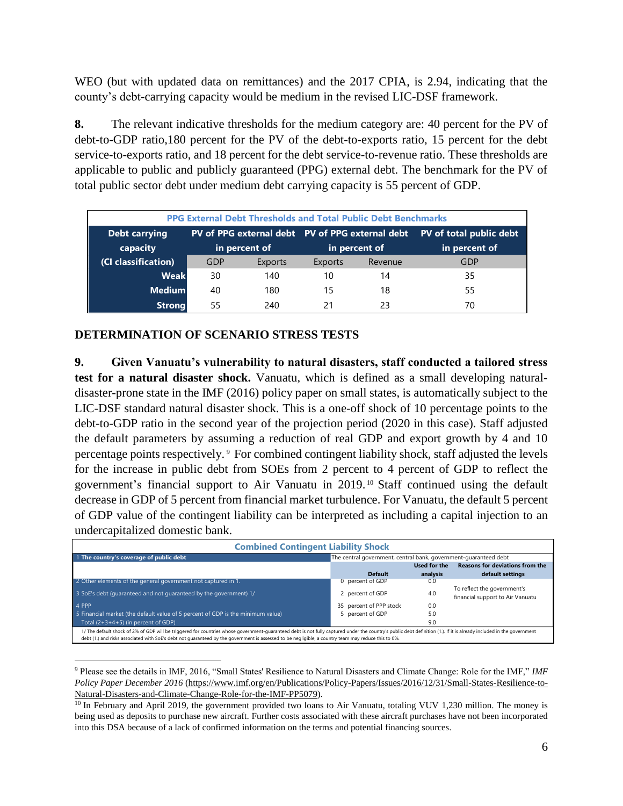WEO (but with updated data on remittances) and the 2017 CPIA, is 2.94, indicating that the county's debt-carrying capacity would be medium in the revised LIC-DSF framework.

**8.** The relevant indicative thresholds for the medium category are: 40 percent for the PV of debt-to-GDP ratio,180 percent for the PV of the debt-to-exports ratio, 15 percent for the debt service-to-exports ratio, and 18 percent for the debt service-to-revenue ratio. These thresholds are applicable to public and publicly guaranteed (PPG) external debt. The benchmark for the PV of total public sector debt under medium debt carrying capacity is 55 percent of GDP.

|                      |     | <b>PPG External Debt Thresholds and Total Public Debt Benchmarks</b> |         |               |                         |
|----------------------|-----|----------------------------------------------------------------------|---------|---------------|-------------------------|
| <b>Debt carrying</b> |     | PV of PPG external debt PV of PPG external debt                      |         |               | PV of total public debt |
| capacity             |     | in percent of                                                        |         | in percent of | in percent of           |
| (CI classification)  | GDP | Exports                                                              | Exports | Revenue       | GDP                     |
| <b>Weak</b>          | 30  | 140                                                                  | 10      | 14            | 35                      |
| <b>Medium</b>        | 40  | 180                                                                  | 15      | 18            | 55                      |
| <b>Strong</b>        | 55  | 240                                                                  |         | 23            | 70                      |

#### **DETERMINATION OF SCENARIO STRESS TESTS**

 $\overline{a}$ 

**9. Given Vanuatu's vulnerability to natural disasters, staff conducted a tailored stress test for a natural disaster shock.** Vanuatu, which is defined as a small developing naturaldisaster-prone state in the IMF (2016) policy paper on small states, is automatically subject to the LIC-DSF standard natural disaster shock. This is a one-off shock of 10 percentage points to the debt-to-GDP ratio in the second year of the projection period (2020 in this case). Staff adjusted the default parameters by assuming a reduction of real GDP and export growth by 4 and 10 percentage points respectively. <sup>9</sup> For combined contingent liability shock, staff adjusted the levels for the increase in public debt from SOEs from 2 percent to 4 percent of GDP to reflect the government's financial support to Air Vanuatu in 2019. <sup>10</sup> Staff continued using the default decrease in GDP of 5 percent from financial market turbulence. For Vanuatu, the default 5 percent of GDP value of the contingent liability can be interpreted as including a capital injection to an undercapitalized domestic bank.

| <b>Combined Contingent Liability Shock</b>                                                                                                                                                                                                                                                                                                                                   |                                                                  |              |                                        |
|------------------------------------------------------------------------------------------------------------------------------------------------------------------------------------------------------------------------------------------------------------------------------------------------------------------------------------------------------------------------------|------------------------------------------------------------------|--------------|----------------------------------------|
| 1 The country's coverage of public debt                                                                                                                                                                                                                                                                                                                                      | The central government, central bank, government-guaranteed debt |              |                                        |
|                                                                                                                                                                                                                                                                                                                                                                              |                                                                  | Used for the | <b>Reasons for deviations from the</b> |
|                                                                                                                                                                                                                                                                                                                                                                              | <b>Default</b>                                                   | analysis     | default settings                       |
| 2 Other elements of the general government not captured in 1.                                                                                                                                                                                                                                                                                                                | 0 percent of GDP                                                 | 0.0          |                                        |
| 3 SoE's debt (quaranteed and not quaranteed by the government) 1/                                                                                                                                                                                                                                                                                                            |                                                                  | 4.0          | To reflect the government's            |
|                                                                                                                                                                                                                                                                                                                                                                              | 2 percent of GDP                                                 |              | financial support to Air Vanuatu       |
| 4 PPP                                                                                                                                                                                                                                                                                                                                                                        | 35 percent of PPP stock                                          | 0.0          |                                        |
| 5 Financial market (the default value of 5 percent of GDP is the minimum value)                                                                                                                                                                                                                                                                                              | 5 percent of GDP                                                 | 5.0          |                                        |
| Total $(2+3+4+5)$ (in percent of GDP)                                                                                                                                                                                                                                                                                                                                        |                                                                  | 9.0          |                                        |
| 1/ The default shock of 2% of GDP will be triggered for countries whose government-quaranteed debt is not fully captured under the country's public debt definition (1.). If it is already included in the government<br>debt (1.) and risks associated with SoE's debt not quaranteed by the government is assessed to be negligible, a country team may reduce this to 0%. |                                                                  |              |                                        |

<sup>9</sup> Please see the details in IMF, 2016, "Small States' Resilience to Natural Disasters and Climate Change: Role for the IMF," *IMF Policy Paper December 2016* [\(https://www.imf.org/en/Publications/Policy-Papers/Issues/2016/12/31/Small-States-Resilience-to-](https://www.imf.org/en/Publications/Policy-Papers/Issues/2016/12/31/Small-States-Resilience-to-Natural-Disasters-and-Climate-Change-Role-for-the-IMF-PP5079)[Natural-Disasters-and-Climate-Change-Role-for-the-IMF-PP5079\)](https://www.imf.org/en/Publications/Policy-Papers/Issues/2016/12/31/Small-States-Resilience-to-Natural-Disasters-and-Climate-Change-Role-for-the-IMF-PP5079).

<sup>&</sup>lt;sup>10</sup> In February and April 2019, the government provided two loans to Air Vanuatu, totaling VUV 1,230 million. The money is being used as deposits to purchase new aircraft. Further costs associated with these aircraft purchases have not been incorporated into this DSA because of a lack of confirmed information on the terms and potential financing sources.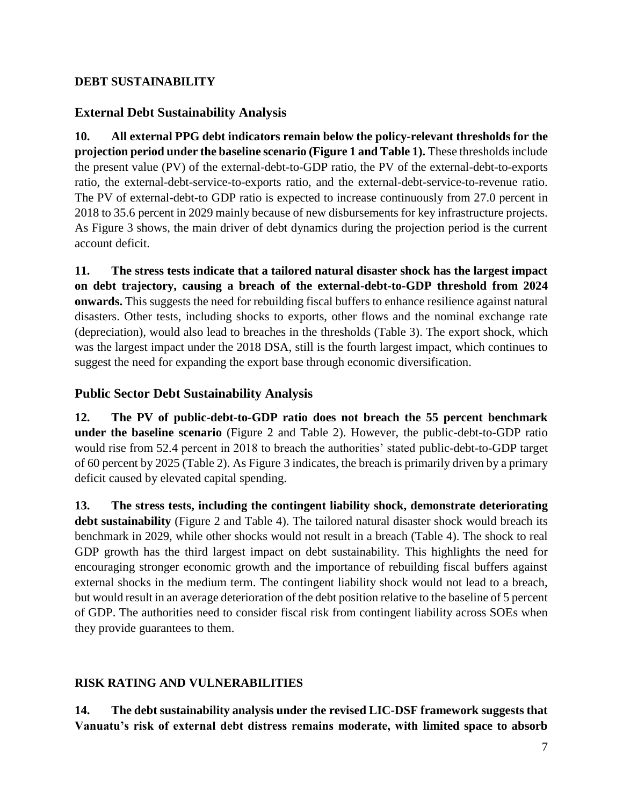## **DEBT SUSTAINABILITY**

## **External Debt Sustainability Analysis**

**10. All external PPG debt indicators remain below the policy-relevant thresholds for the projection period under the baseline scenario (Figure 1 and Table 1).** These thresholds include the present value (PV) of the external-debt-to-GDP ratio, the PV of the external-debt-to-exports ratio, the external-debt-service-to-exports ratio, and the external-debt-service-to-revenue ratio. The PV of external-debt-to GDP ratio is expected to increase continuously from 27.0 percent in 2018 to 35.6 percent in 2029 mainly because of new disbursements for key infrastructure projects. As Figure 3 shows, the main driver of debt dynamics during the projection period is the current account deficit.

**11. The stress tests indicate that a tailored natural disaster shock has the largest impact on debt trajectory, causing a breach of the external-debt-to-GDP threshold from 2024 onwards.** This suggests the need for rebuilding fiscal buffers to enhance resilience against natural disasters. Other tests, including shocks to exports, other flows and the nominal exchange rate (depreciation), would also lead to breaches in the thresholds (Table 3). The export shock, which was the largest impact under the 2018 DSA, still is the fourth largest impact, which continues to suggest the need for expanding the export base through economic diversification.

# **Public Sector Debt Sustainability Analysis**

**12. The PV of public-debt-to-GDP ratio does not breach the 55 percent benchmark under the baseline scenario** (Figure 2 and Table 2). However, the public-debt-to-GDP ratio would rise from 52.4 percent in 2018 to breach the authorities' stated public-debt-to-GDP target of 60 percent by 2025 (Table 2). As Figure 3 indicates, the breach is primarily driven by a primary deficit caused by elevated capital spending.

**13. The stress tests, including the contingent liability shock, demonstrate deteriorating debt sustainability** (Figure 2 and Table 4). The tailored natural disaster shock would breach its benchmark in 2029, while other shocks would not result in a breach (Table 4). The shock to real GDP growth has the third largest impact on debt sustainability. This highlights the need for encouraging stronger economic growth and the importance of rebuilding fiscal buffers against external shocks in the medium term. The contingent liability shock would not lead to a breach, but would result in an average deterioration of the debt position relative to the baseline of 5 percent of GDP. The authorities need to consider fiscal risk from contingent liability across SOEs when they provide guarantees to them.

# **RISK RATING AND VULNERABILITIES**

**14. The debt sustainability analysis under the revised LIC-DSF framework suggests that Vanuatu's risk of external debt distress remains moderate, with limited space to absorb**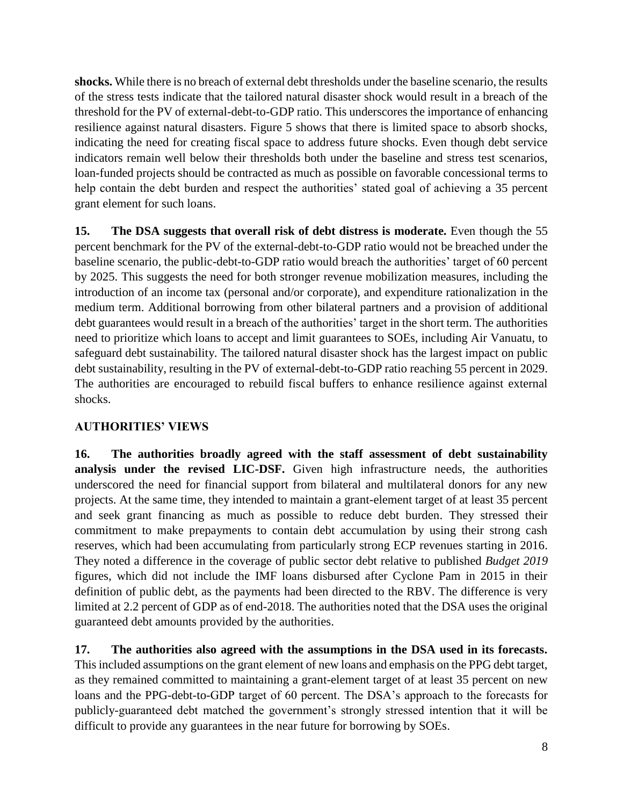**shocks.** While there is no breach of external debt thresholds under the baseline scenario, the results of the stress tests indicate that the tailored natural disaster shock would result in a breach of the threshold for the PV of external-debt-to-GDP ratio. This underscores the importance of enhancing resilience against natural disasters. Figure 5 shows that there is limited space to absorb shocks, indicating the need for creating fiscal space to address future shocks. Even though debt service indicators remain well below their thresholds both under the baseline and stress test scenarios, loan-funded projects should be contracted as much as possible on favorable concessional terms to help contain the debt burden and respect the authorities' stated goal of achieving a 35 percent grant element for such loans.

**15. The DSA suggests that overall risk of debt distress is moderate.** Even though the 55 percent benchmark for the PV of the external-debt-to-GDP ratio would not be breached under the baseline scenario, the public-debt-to-GDP ratio would breach the authorities' target of 60 percent by 2025. This suggests the need for both stronger revenue mobilization measures, including the introduction of an income tax (personal and/or corporate), and expenditure rationalization in the medium term. Additional borrowing from other bilateral partners and a provision of additional debt guarantees would result in a breach of the authorities' target in the short term. The authorities need to prioritize which loans to accept and limit guarantees to SOEs, including Air Vanuatu, to safeguard debt sustainability. The tailored natural disaster shock has the largest impact on public debt sustainability, resulting in the PV of external-debt-to-GDP ratio reaching 55 percent in 2029. The authorities are encouraged to rebuild fiscal buffers to enhance resilience against external shocks.

# **AUTHORITIES' VIEWS**

**16. The authorities broadly agreed with the staff assessment of debt sustainability analysis under the revised LIC-DSF.** Given high infrastructure needs, the authorities underscored the need for financial support from bilateral and multilateral donors for any new projects. At the same time, they intended to maintain a grant-element target of at least 35 percent and seek grant financing as much as possible to reduce debt burden. They stressed their commitment to make prepayments to contain debt accumulation by using their strong cash reserves, which had been accumulating from particularly strong ECP revenues starting in 2016. They noted a difference in the coverage of public sector debt relative to published *Budget 2019* figures, which did not include the IMF loans disbursed after Cyclone Pam in 2015 in their definition of public debt, as the payments had been directed to the RBV. The difference is very limited at 2.2 percent of GDP as of end-2018. The authorities noted that the DSA uses the original guaranteed debt amounts provided by the authorities.

**17. The authorities also agreed with the assumptions in the DSA used in its forecasts.**  This included assumptions on the grant element of new loans and emphasis on the PPG debt target, as they remained committed to maintaining a grant-element target of at least 35 percent on new loans and the PPG-debt-to-GDP target of 60 percent. The DSA's approach to the forecasts for publicly-guaranteed debt matched the government's strongly stressed intention that it will be difficult to provide any guarantees in the near future for borrowing by SOEs.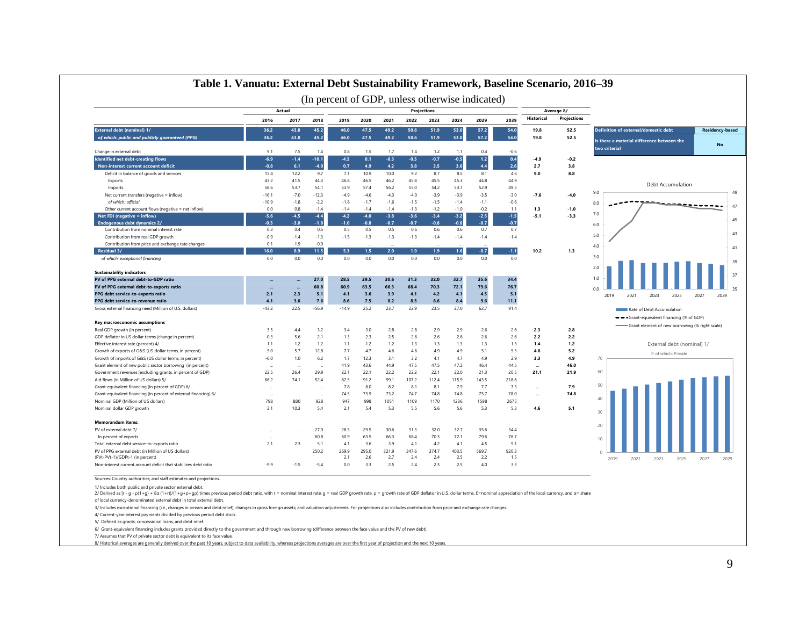|                                                                                       |                |                      |         |              |              |              |              |              |              | (In percent of GDP, unless otherwise indicated) |              |                   |                    |                                                             |                        |
|---------------------------------------------------------------------------------------|----------------|----------------------|---------|--------------|--------------|--------------|--------------|--------------|--------------|-------------------------------------------------|--------------|-------------------|--------------------|-------------------------------------------------------------|------------------------|
|                                                                                       |                | Actual               |         |              |              |              |              | Projections  |              |                                                 |              |                   | Average 8/         |                                                             |                        |
|                                                                                       | 2016           | 2017                 | 2018    | 2019         | 2020         | 2021         | 2022         | 2023         | 2024         | 2029                                            | 2039         | <b>Historical</b> | <b>Projections</b> |                                                             |                        |
| External debt (nominal) 1/                                                            | 36.2           | 43.8                 | 45.2    | 46.0         | 47.5         | 49.2         | 50.6         | 51.9         | 53.0         | 57.2                                            | 54.0         | 19.8              | 52.5               | Definition of external/domestic debt                        | <b>Residency-based</b> |
| of which: public and publicly guaranteed (PPG)                                        | 36.2           | 43.8                 | 45.2    | 46.0         | 47.5         | 49.2         | 50.6         | 51.9         | 53.0         | 57.2                                            | 54.0         | 19.8              | 52.5               | Is there a material difference between the<br>two criteria? | <b>No</b>              |
| Change in external debt                                                               | 9.1            | 7.5                  | 1.4     | 0.8          | 1.5          | 1.7          | 1.4          | 1.2          | 1.1          | 0.4                                             | $-0.6$       |                   |                    |                                                             |                        |
| Identified net debt-creating flows                                                    | $-6.9$         | $-1.4$               | $-10.1$ | $-4.5$       | 0.1          | $-0.3$       | $-0.5$       | $-0.7$       | $-0.5$       | $1.2$                                           | 0.4<br>2.6   | $-4.9$            | $-0.2$             |                                                             |                        |
| Non-interest current account deficit                                                  | $-0.8$<br>15.4 | 6.1<br>12.2          | $-4.0$  | 0.7          | 4.9          | 4.2          | 3.8          | 3.5          | 3.6<br>8.5   | 44<br>8.1                                       | 4.6          | 2.7<br>9.0        | 3.8<br>8.8         |                                                             |                        |
| Deficit in balance of goods and services                                              |                |                      | 9.7     | 7.1          | 10.9         | 10.0         | 9.2          | 8.7          |              |                                                 |              |                   |                    |                                                             |                        |
| Exports                                                                               | 43.2           | 41.5                 | 44.3    | 46.8         | 46.5         | 46.2         | 45.8         | 45.5         | 45.3         | 44.8                                            | 44.9         |                   |                    | Debt Accumulation                                           |                        |
| Imports                                                                               | 58.6           | 53.7                 | 54.1    | 53.9         | 57.4         | 56.2         | 55.0         | 54.2         | 53.7         | 52.9                                            | 49.5         |                   |                    | 9.0                                                         | 49                     |
| Net current transfers (negative = inflow)                                             | $-16.1$        | $-7.0$               | $-12.3$ | $-4.9$       | $-4.6$       | $-4.3$       | $-4.0$       | $-3.9$       | $-3.9$       | $-3.5$                                          | $-3.0$       | $-7.6$            | $-4.0$             |                                                             |                        |
| of which: official                                                                    | $-10.9$        | $-1.8$               | $-2.2$  | $-1.8$       | $-1.7$       | $-1.6$       | $-1.5$       | $-1.5$       | $-1.4$       | $-1.1$                                          | $-0.6$       |                   |                    | 8.0                                                         | 47                     |
| Other current account flows (negative = net inflow)                                   | 0.0            | 0.8                  | $-1.4$  | $-1.4$       | $-1.4$       | $-1.4$       | $-1.3$       | $-1.2$       | $-1.0$       | $-0.2$                                          | 1.1          | 1.3               | $-1.0$             | 7.0                                                         |                        |
| Net FDI (negative = inflow)                                                           | $-5.6$         | $-4.5$               | $-4.4$  | $-4.2$       | $-4.0$       | $-3.8$       | $-3.6$       | $-3.4$       | $-3.2$       | $-2.5$                                          | $-1.5$       | $-5.1$            | $-3.3$             |                                                             | 45                     |
| Endogenous debt dynamics 2/                                                           | $-0.5$         | $-3.0$               | $-1.8$  | $-1.0$       | $-0.8$       | $-0.7$       | $-0.7$       | $-0.8$       | $-0.8$       | $-0.7$                                          | $-0.7$       |                   |                    | 6.0                                                         |                        |
| Contribution from nominal interest rate                                               | 0.3            | 0.4                  | 0.5     | 0.5          | 0.5          | 0.5          | 0.6          | 0.6          | 0.6          | 0.7                                             | 0.7          |                   |                    | 5.0                                                         | 43                     |
| Contribution from real GDP growth                                                     | $-0.9$         | $-1.4$               | $-1.3$  | $-1.5$       | $-1.3$       | $-1.3$       | $-1.3$       | $-1.4$       | $-1.4$       | $-1.4$                                          | $-1.4$       |                   |                    |                                                             |                        |
| Contribution from price and exchange rate changes                                     | 0.1            | $-1.9$               | $-0.9$  |              |              |              |              |              |              |                                                 |              |                   |                    | 4.0                                                         | 41                     |
| Residual 3/                                                                           | 16.0           | 8.9                  | 11.5    | 5.3          | 1.5          | 2.0          | 1.9          | 1.9          | 1.6          | $-0.7$                                          | $-1.1$       | 10.2              | 1.3                |                                                             |                        |
| of which: exceptional financing                                                       | 0.0            | 0.0                  | 0.0     | 0.0          | 0.0          | 0.0          | 0.0          | 0.0          | 0.0          | 0.0                                             | 0.0          |                   |                    | 3.0<br>2.0                                                  | 39                     |
| <b>Sustainability indicators</b>                                                      |                |                      |         |              |              |              |              |              |              |                                                 |              |                   |                    |                                                             | 37                     |
| PV of PPG external debt-to-GDP ratio                                                  |                |                      | 27.0    | 28.5         | 29.5         | 30.6         | 31.3         | 32.0         | 32.7         | 35.6                                            | 34.4         |                   |                    | 1.0                                                         |                        |
| PV of PPG external debt-to-exports ratio                                              |                |                      | 60.8    | 60.9         | 63.5         | 66.3         | 68.4         | 70.3         | 72.1         | 79.6                                            | 76.7         |                   |                    | 0 <sub>0</sub>                                              |                        |
| PPG debt service-to-exports ratio                                                     | 2.1            | 2.3                  | 5.1     | 4.1          | 3.6          | 3.9          | 4.1          | 4.2          | 4.1          | 4.5                                             | 5.1          |                   |                    | 2019<br>2021<br>2023<br>2025<br>2027                        | 2029                   |
| PPG debt service-to-revenue ratio                                                     | 4.1            | 3.6                  | 7.6     | 8.6          | 7.5          | 8.2          | 8.5          | 8.6          | 8.4          | 9.6                                             | 11.1         |                   |                    |                                                             |                        |
| Gross external financing need (Million of U.S. dollars)                               | $-43.2$        | 22.5                 | $-56.9$ | $-14.9$      | 25.2         | 23.7         | 22.9         | 23.5         | 27.0         | 62.7                                            | 91.4         |                   |                    | Rate of Debt Accumulation                                   |                        |
|                                                                                       |                |                      |         |              |              |              |              |              |              |                                                 |              |                   |                    | -Grant-equivalent financing (% of GDP)                      |                        |
| Key macroeconomic assumptions                                                         |                |                      |         |              |              |              |              |              |              |                                                 |              |                   |                    | Grant element of new borrowing (% right scale)              |                        |
| Real GDP growth (in percent)                                                          | 3.5            | 4.4                  | 3.2     | 3.4          | 3.0          | 2.8          | 2.8          | 2.9          | 2.9          | 2.6                                             | 2.6          | 2.3               | 2.8                |                                                             |                        |
| GDP deflator in US dollar terms (change in percent)                                   | $-0.3$         | 5.6                  | 2.1     | $-1.3$       | 2.3          | 2.5          | 2.6          | 2.6          | 2.6          | 2.6                                             | 2.6          | 2.2               | 2.2                |                                                             |                        |
| Effective interest rate (percent) 4/                                                  | 1.1            | 1.2                  | 1.2     | 1.1          | 1.2          | 1.2          | 1.3          | 1.3          | 1.3          | 1.3                                             | 1.3          | 1.4               | 1.2                | External debt (nominal) 1/                                  |                        |
| Growth of exports of G&S (US dollar terms, in percent)                                | 5.0            | 5.7                  | 12.8    | 7.7          | 4.7          | 4.6          | 4.6          | 4.9          | 4.9          | 5.1                                             | 5.3          | 4.6               | 5.2                | of which: Private                                           |                        |
| Growth of imports of G&S (US dollar terms, in percent)                                | $-6.0$         | 1.0                  | 6.2     | 1.7          | 12.3         | 3.1          | 3.2          | 4.1          | 4.7          | 4.9                                             | 2.9          | 3.3               | 4.9                | 70                                                          |                        |
| Grant element of new public sector borrowing (in percent)                             |                |                      |         | 41.9         | 43.6         | 44.9         | 47.5         | 47.5         | 47.2         | 46.4                                            | 44.5         |                   | 46.0               |                                                             |                        |
| Government revenues (excluding grants, in percent of GDP)                             | 22.5           | 26.4                 | 29.9    | 22.1         | 22.1         | 22.2         | 22.2         | 22.1         | 22.0         | 21.3                                            | 20.5         | 21.1              | 21.9               | 60                                                          |                        |
| Aid flows (in Million of US dollars) 5/                                               | 66.2           | 74.1                 | 52.4    | 82.5         | 91.2         | 99.1         | 107.2        | 112.4        | 115.9        | 143.5                                           | 218.6        |                   |                    |                                                             |                        |
| Grant-equivalent financing (in percent of GDP) 6/                                     |                |                      |         | 7.8          | 8.0          | 8.2          | 8.1          | 8.1          | 7.9          | 7.7                                             | 7.3          |                   | 7.9                | 50                                                          |                        |
| Grant-equivalent financing (in percent of external financing) 6/                      |                | $\ddot{\phantom{a}}$ | ÷.      | 74.5         | 73.9         | 73.2         | 74.7         | 74.8         | 74.8         | 75.7                                            | 78.0         |                   | 74.8               |                                                             |                        |
| Nominal GDP (Million of US dollars)                                                   | 798            | 880                  | 928     | 947          | 998          | 1051         | 1109         | 1170         | 1236         | 1598                                            | 2675         |                   |                    | 40                                                          |                        |
| Nominal dollar GDP growth                                                             | 3.1            | 10.3                 | 5.4     | 2.1          | 5.4          | 5.3          | 5.5          | 5.6          | 5.6          | 5.3                                             | 5.3          | 4.6               | 5.1                | 30                                                          |                        |
| <b>Memorandum items:</b>                                                              |                |                      |         |              |              |              |              |              |              |                                                 |              |                   |                    |                                                             |                        |
| PV of external debt 7/                                                                |                |                      | 27.0    | 28.5         | 29.5         | 30.6         | 31.3         | 32.0         | 32.7         | 35.6                                            | 34.4         |                   |                    | 20                                                          |                        |
|                                                                                       |                |                      | 60.8    | 60.9         | 63.5         | 66.3         | 68.4         | 70.3         | 72.1         | 79.6                                            | 76.7         |                   |                    |                                                             |                        |
| In percent of exports                                                                 | 2.1            |                      |         | 4.1          |              |              | 4.1          | 4.2          | 4.1          | 4.5                                             |              |                   |                    | 10                                                          |                        |
| Total external debt service-to-exports ratio                                          |                | 2.3                  | 5.1     |              | 3.6          | 3.9          |              |              |              |                                                 | 5.1          |                   |                    |                                                             |                        |
| PV of PPG external debt (in Million of US dollars)<br>(PVt-PVt-1)/GDPt-1 (in percent) |                |                      | 250.2   | 269.9<br>2.1 | 295.0<br>2.6 | 321.9<br>2.7 | 347.6<br>2.4 | 374.7<br>2.4 | 403.5<br>2.5 | 569.7<br>2.2                                    | 920.3<br>1.5 |                   |                    |                                                             |                        |
|                                                                                       |                |                      |         |              |              |              |              |              |              |                                                 |              |                   |                    | 2021<br>2023<br>2019<br>2025                                | 2027<br>2029           |

 $\overline{\phantom{a}}$ 

#### **Table 1. Vanuatu: External Debt Sustainability Framework, Baseline Scenario, 2016–39**

Sources: Country authorities; and staff estimates and projections. <sup>0</sup>

1/ Includes both public and private sector external debt.

2/ Derived as [r - g - p(1+g) + Ea (1+r))/(1+g+p+gp) times previous period debt ratio, with r = nominal interest rate; g = real GDP growth rate, p = growth rate, p = growth rate of GDP deflator in U.S. dollar terms, E=nomi

of local currency-denominated external debt in total external debt.

3/ Includes exceptional financing (i.e., changes in arrears and debt relief); changes in gross foreign assets; and valuation adjustments. For projections also includes contribution from price and exchange rate changes.

4/ Current-year interest payments divided by previous period debt stock.

5/ Defined as grants, concessional loans, and debt relief.

6/ Grant-equivalent financing includes grants provided directly to the government and through new borrowing (difference between the face value and the PV of new debt).

7/ Assumes that PV of private sector debt is equivalent to its face value.

8/ Historical averages are generally derived over the past 10 years, subject to data availability, whereas projections averages are over the first year of projection and the next 10 years.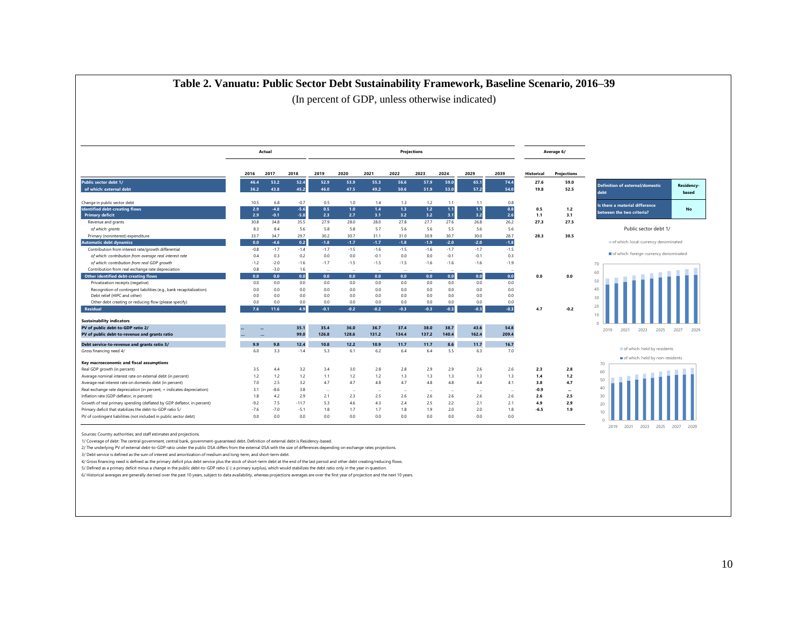|                                                                                    |              | Actual        |                  |               |               |               | Projections   |               |               |                |              |                   | Average 6/   |                                                |                     |
|------------------------------------------------------------------------------------|--------------|---------------|------------------|---------------|---------------|---------------|---------------|---------------|---------------|----------------|--------------|-------------------|--------------|------------------------------------------------|---------------------|
|                                                                                    | 2016         | 2017          | 2018             | 2019          | 2020          | 2021          | 2022          | 2023          | 2024          | 2029           | 2039         | <b>Historical</b> | Projections  |                                                |                     |
| Public sector debt 1/<br>of which: external debt                                   | 46.4<br>36.2 | 53.2<br>43.8  | 52.4<br>45.2     | 52.9<br>46.0  | 53.9<br>47.5  | 55.3<br>49.2  | 56.6<br>50.6  | 57.9<br>51.9  | 59.0<br>53.0  | 65.1<br>57.2   | 74.4<br>54.0 | 27.6<br>19.8      | 59.0<br>52.5 | <b>Definition of external/domestic</b><br>debt | Residency-<br>based |
| Change in public sector debt<br><b>Identified debt-creating flows</b>              | 10.5<br>2.9  | 6.8<br>$-4.8$ | $-0.7$<br>$-5.6$ | 0.5<br>0.5    | 1.0<br>1.0    | 1.4<br>1.4    | 1.3<br>1.3    | 1.2<br>$1.2$  | 1.1<br>$1.1$  | 1.1<br>$1.1$   | 0.8<br>0.8   | 0.5               | 1.2          | Is there a material difference                 | No                  |
| <b>Primary deficit</b>                                                             | 2.9          | $-0.1$        | $-5.8$           | 2.3           | 2.7           | 3.1           | 3.2           | 3.2           | 3.1           | 3.2            | $2.6$        | 1.1               | 3.1          | between the two criteria?                      |                     |
| Revenue and grants                                                                 | 30.8         | 34.8          | 35.5             | 27.9          | 28.0          | 28.0          | 27.8          | 27.7          | 27.6          | 26.8           | 26.2         | 27.3              | 27.5         |                                                |                     |
| of which: grants                                                                   | 8.3          | 8.4           | 5.6              | 5.8           | 5.8           | 5.7           | 5.6           | 5.6           | 5.5           | 5.6            | 5.6          |                   |              | Public sector debt 1/                          |                     |
| Primary (noninterest) expenditure                                                  | 33.7         | 34.7          | 29.7             | 30.2          | 30.7          | 31.1          | 31.0          | 30.9          | 30.7          | 30.0           | 28.7         | 28.3              | 30.5         |                                                |                     |
| <b>Automatic debt dynamics</b>                                                     | 0.0          | $-4.6$        | 0.2              | $-1.8$        | $-1.7$        | $-1.7$        | $-1.8$        | $-1.9$        | $-2.0$        | $-2.0$         | $-1.8$       |                   |              | of which: local-currency denominated           |                     |
| Contribution from interest rate/growth differential                                | $-0.8$       | $-1.7$        | $-1.4$           | $-1.7$        | $-1.5$        | $-1.6$        | $-1.5$        | $-1.6$        | $-1.7$        | $-1.7$         | $-1.5$       |                   |              |                                                |                     |
| of which: contribution from average real interest rate                             | 0.4          | 0.3           | 0.2              | 0.0           | 0.0           | $-0.1$        | 0.0           | 0.0           | $-0.1$        | $-0.1$         | 0.3          |                   |              | of which: foreign-currency denominated         |                     |
| of which: contribution from real GDP growth                                        | $-1.2$       | $-2.0$        | $-1.6$           | $-1.7$        | $-1.5$        | $-1.5$        | $-1.5$        | $-1.6$        | $-1.6$        | $-1.6$         | $-1.9$       |                   |              | 70                                             |                     |
| Contribution from real exchange rate depreciation                                  | 0.8          | $-3.0$        | 1.6              |               |               |               |               |               |               |                |              |                   |              |                                                |                     |
| <b>Other identified debt-creating flows</b>                                        | 0.0          | 0.0           | 0.0              | 0.0           | 0.0           | 0.0           | 0.0           | 0.0           | 0.0           | 0.0            | 0.0          | 0.0               | 0.0          | 60                                             |                     |
| Privatization receipts (negative)                                                  | 0.0          | 0.0           | 0.0              | 0.0           | 0.0           | 0.0           | 0.0           | 0.0           | 0.0           | 0.0            | 0.0          |                   |              | 50                                             |                     |
| Recognition of contingent liabilities (e.g., bank recapitalization)                | 0.0          | 0.0           | 0.0              | 0.0           | 0.0           | 0.0           | 0.0           | 0.0           | 0.0           | 0.0            | 0.0          |                   |              | 40                                             |                     |
| Debt relief (HIPC and other)                                                       | 0.0          | 0.0           | 0.0              | 0.0           | 0.0           | 0.0           | 0.0           | 0.0           | 0.0           | 0.0            | 0.0          |                   |              | 30                                             |                     |
| Other debt creating or reducing flow (please specify)                              | 0.0          | 0.0           | 0.0              | 0.0           | 0.0           | 0.0           | 0.0           | 0.0           | 0.0           | 0.0            | 0.0          |                   |              |                                                |                     |
| <b>Residual</b>                                                                    | 7.6          | 11.6          | 4.9              | $-0.1$        | $-0.2$        | $-0.2$        | $-0.3$        | $-0.3$        | $-0.3$        | $-0.3$         | $-0.3$       | 4.7               | $-0.2$       | 20<br>10                                       |                     |
| <b>Sustainability indicators</b>                                                   |              |               |                  |               |               |               |               |               |               | 43.6           | 54.8         |                   |              |                                                |                     |
| PV of public debt-to-GDP ratio 2/<br>PV of public debt-to-revenue and grants ratio |              |               | 35.1<br>99.0     | 35.4<br>126.8 | 36.0<br>128.6 | 36.7<br>131.2 | 37.4<br>134.4 | 38.0<br>137.2 | 38.7<br>140.4 | 162.4          | 209.4        |                   |              | 2023<br>2025<br>2019<br>2021                   | 2027<br>2029        |
| Debt service-to-revenue and grants ratio 3/                                        | 9.9          | 9.8           | 12.4             | 10.8          | 12.2          | 10.9          | 11.7          | 11.7          | 8.6           | 11.7           | 16.7         |                   |              |                                                |                     |
| Gross financing need 4/                                                            | 6.0          | 3.3           | $-1.4$           | 5.3           | 6.1           | 6.2           | 6.4           | 6.4           | 5.5           | 6.3            | 7.0          |                   |              | of which: held by residents                    |                     |
|                                                                                    |              |               |                  |               |               |               |               |               |               |                |              |                   |              | of which: held by non-residents                |                     |
| Key macroeconomic and fiscal assumptions                                           |              |               |                  |               |               |               |               |               |               |                |              |                   |              | 70                                             |                     |
| Real GDP growth (in percent)                                                       | 3.5          | 4.4           | 3.2              | 3.4           | 3.0           | 2.8           | 2.8           | 2.9           | 2.9           | 2.6            | 2.6          | 2.3               | 2.8          | 60                                             |                     |
| Average nominal interest rate on external debt (in percent)                        | 1.2          | 1.2           | 1.2              | 1.1           | 1.2           | 1.2           | 1.3           | 1.3           | 1.3           | 1.3            | 1.3          | 1.4               | $1.2$        | 50                                             |                     |
| Average real interest rate on domestic debt (in percent)                           | 7.0          | 2.5           | 3.2              | 4.7           | 4.7           | 4.8           | 4.7           | 4.8           | 4.8           | 4.4            | 4.1          | 3.8               | 4.7          |                                                |                     |
| Real exchange rate depreciation (in percent, + indicates depreciation)             | 3.1          | $-8.6$        | 3.8              | $\cdots$      | $\sim$        | à.            | $\sim$        |               |               | <b>Service</b> | $\sim$       | -0.9              |              | 40                                             |                     |
| Inflation rate (GDP deflator, in percent)                                          | 1.8          | 4.2           | 2.9              | 2.1           | 2.3           | 2.5           | 2.6           | 2.6           | 2.6           | 2.6            | 2.6          | 2.6               | 2.5          | 30                                             |                     |
| Growth of real primary spending (deflated by GDP deflator, in percent)             | $-9.2$       | 7.5           | $-11.7$          | 5.3           | 4.6           | 4.3           | 2.4           | 2.5           | 2.2           | 2.1            | 2.1          | 4.9               | 2.9          | 20                                             |                     |
| Primary deficit that stabilizes the debt-to-GDP ratio 5/                           | $-7.6$       | $-7.0$        | $-5.1$           | 1.8           | 1.7           | 1.7           | 1.8           | 1.9           | 2.0           | 2.0            | 1.8          | $-6.5$            | 1.9          | 10                                             |                     |
| PV of contingent liabilities (not included in public sector debt)                  | 0.0          | 0.0           | 0.0              | 0.0           | 0.0           | 0.0           | 0.0           | 0.0           | 0.0           | 0.0            | 0.0          |                   |              |                                                |                     |

#### **Table 2. Vanuatu: Public Sector Debt Sustainability Framework, Baseline Scenario, 2016–39**

arces: Country authorities; and staff estimates and projections

1/ Coverage of debt: The central government, central bank, government-guaranteed debt. Definition of external debt is Residency-based.

2/ The underlying PV of external debt-to-GDP ratio under the public DSA differs from the external DSA with the size of differences depending on exchange rates projections.

3/ Debt service is defined as the sum of interest and amortization of medium and long-term, and short-term debt.

4/ Gross financing need is defined as the primary deficit plus debt service plus the stock of short-term debt at the end of the last period and other debt creating/reducing flows.

5/ Defined as a primary deficit minus a change in the public debt-to-GDP ratio ((-): a primary surplus), which would stabilizes the debt ratio only in the year in question.

6/ Historical averages are generally derived over the past 10 years, subject to data availability, whereas projections averages are over the first year of projection and the next 10 years.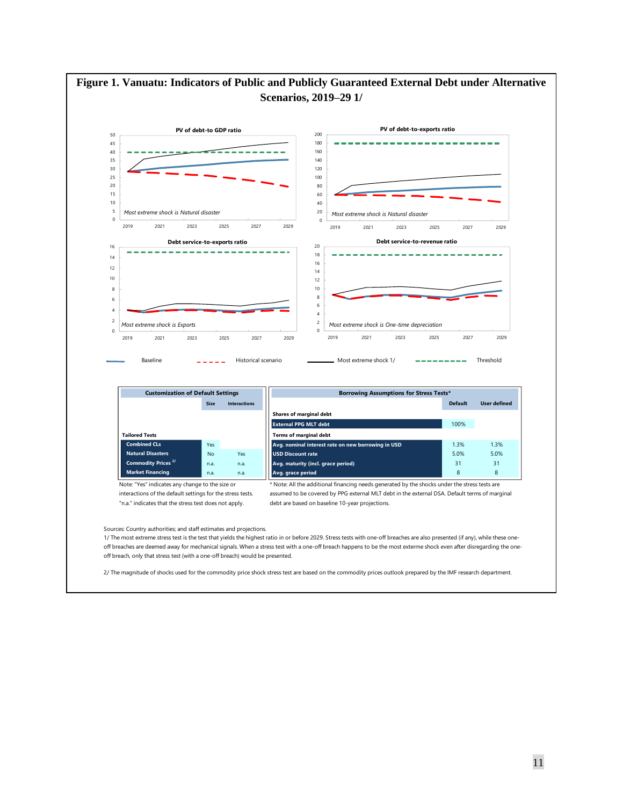

2/ The magnitude of shocks used for the commodity price shock stress test are based on the commodity prices outlook prepared by the IMF research department.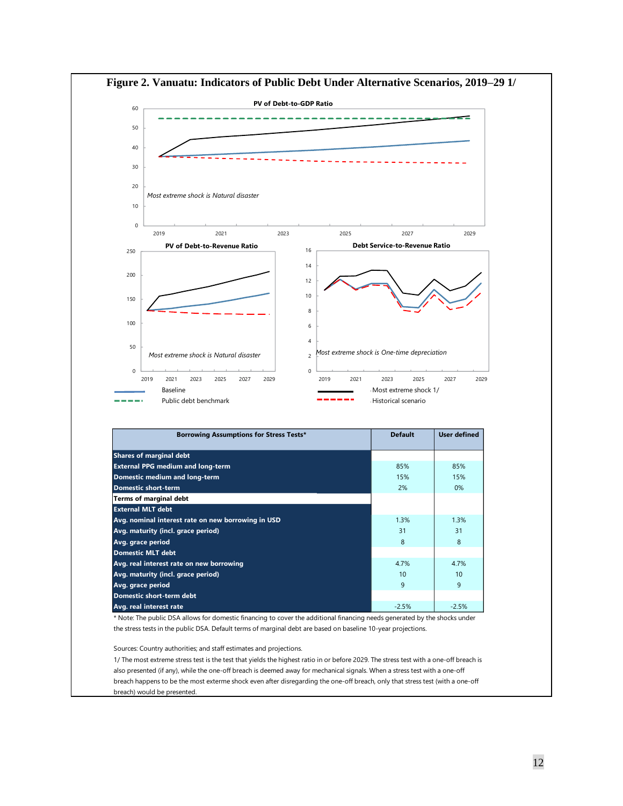

**Figure 2. Vanuatu: Indicators of Public Debt Under Alternative Scenarios, 2019–29 1/**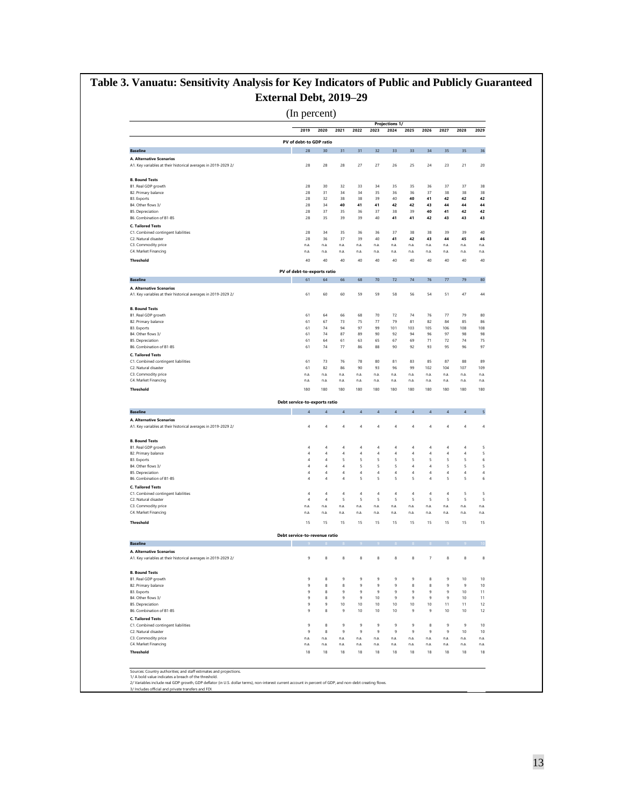# **Table 3. Vanuatu: Sensitivity Analysis for Key Indicators of Public and Publicly Guaranteed External Debt, 2019–29**

(In percent)

|                                                                                                                                                                                                                                                                                                                                                                                                                                                                                                                                                                                                                                       |                               |                    |                  |            |                                  | <b>Projections 1/</b> |                                  |                         |                                  |                      |              |
|---------------------------------------------------------------------------------------------------------------------------------------------------------------------------------------------------------------------------------------------------------------------------------------------------------------------------------------------------------------------------------------------------------------------------------------------------------------------------------------------------------------------------------------------------------------------------------------------------------------------------------------|-------------------------------|--------------------|------------------|------------|----------------------------------|-----------------------|----------------------------------|-------------------------|----------------------------------|----------------------|--------------|
|                                                                                                                                                                                                                                                                                                                                                                                                                                                                                                                                                                                                                                       | 2019                          | 2020               | 2021             | 2022       | 2023                             | 2024                  | 2025                             | 2026                    | 2027                             | 2028                 | 2029         |
|                                                                                                                                                                                                                                                                                                                                                                                                                                                                                                                                                                                                                                       | PV of debt-to GDP ratio       |                    |                  |            |                                  |                       |                                  |                         |                                  |                      |              |
| <b>Baseline</b>                                                                                                                                                                                                                                                                                                                                                                                                                                                                                                                                                                                                                       | 28                            | 30                 | 31               | 31         | 32                               | 33                    | 33                               | 34                      | 35                               | 35                   | 36           |
| A. Alternative Scenarios<br>A1. Key variables at their historical averages in 2019-2029 2/                                                                                                                                                                                                                                                                                                                                                                                                                                                                                                                                            | 28                            | 28                 | 28               | 27         | 27                               | 26                    | 25                               | 24                      | 23                               | 21                   | 20           |
| <b>B. Bound Tests</b>                                                                                                                                                                                                                                                                                                                                                                                                                                                                                                                                                                                                                 |                               |                    |                  |            |                                  |                       |                                  |                         |                                  |                      |              |
| B1. Real GDP growth                                                                                                                                                                                                                                                                                                                                                                                                                                                                                                                                                                                                                   | 28                            | 30                 | 32               | 33         | 34                               | 35                    | 35                               | 36                      | 37                               | 37                   |              |
| B2. Primary balance                                                                                                                                                                                                                                                                                                                                                                                                                                                                                                                                                                                                                   | 28                            | 31                 | 34               | 34         | 35                               | 36                    | 36                               | 37                      | 38                               | 38                   |              |
| <b>B3.</b> Exports<br>B4. Other flows 3/                                                                                                                                                                                                                                                                                                                                                                                                                                                                                                                                                                                              | 28<br>28                      | 32<br>34           | 38<br>40         | 38<br>41   | 39<br>41                         | 40<br>42              | 40<br>42                         | 41<br>43                | 42<br>44                         | 42<br>44             |              |
| <b>B5. Depreciation</b>                                                                                                                                                                                                                                                                                                                                                                                                                                                                                                                                                                                                               | 28                            | 37                 | 35               | 36         | 37                               | 38                    | 39                               | 40                      | 41                               | 42                   |              |
| B6. Combination of B1-B5                                                                                                                                                                                                                                                                                                                                                                                                                                                                                                                                                                                                              | 28                            | 35                 | 39               | 39         | 40                               | 41                    | 41                               | 42                      | 43                               | 43                   |              |
| <b>C. Tailored Tests</b>                                                                                                                                                                                                                                                                                                                                                                                                                                                                                                                                                                                                              |                               |                    |                  |            |                                  |                       |                                  |                         |                                  |                      |              |
| C1. Combined contingent liabilities                                                                                                                                                                                                                                                                                                                                                                                                                                                                                                                                                                                                   | 28                            | 34                 | 35               | 36         | 36                               | 37                    | 38                               | 38                      | 39                               | 39                   |              |
| C2. Natural disaster                                                                                                                                                                                                                                                                                                                                                                                                                                                                                                                                                                                                                  | 28                            | 36                 | 37               | 39         | 40                               | 41                    | 42                               | 43                      | 44                               | 45                   |              |
| C3. Commodity price                                                                                                                                                                                                                                                                                                                                                                                                                                                                                                                                                                                                                   | n.a.                          | n.a.               | n.a.             | n.a.       | n.a.                             | n.a.                  | n.a.                             | n.a.                    | n.a.                             | n.a.                 | n.a.         |
| C4. Market Financing                                                                                                                                                                                                                                                                                                                                                                                                                                                                                                                                                                                                                  | n.a.                          | n.a.               | n.a.             | n.a.       | n.a.                             | n.a.                  | n.a.                             | n.a.                    | n.a.                             | n.a.                 | n.a.         |
| <b>Threshold</b>                                                                                                                                                                                                                                                                                                                                                                                                                                                                                                                                                                                                                      | 40                            | 40                 | 40               | 40         | 40                               | 40                    | 40                               | 40                      | 40                               | 40                   |              |
|                                                                                                                                                                                                                                                                                                                                                                                                                                                                                                                                                                                                                                       | PV of debt-to-exports ratio   |                    |                  |            |                                  |                       |                                  |                         |                                  |                      |              |
| <b>Baseline</b>                                                                                                                                                                                                                                                                                                                                                                                                                                                                                                                                                                                                                       | 61                            | 64                 | 66               | 68         | 70                               | 72                    | 74                               | 76                      | 77                               | 79                   |              |
| A. Alternative Scenarios<br>A1. Key variables at their historical averages in 2019-2029 2/                                                                                                                                                                                                                                                                                                                                                                                                                                                                                                                                            | 61                            | 60                 | 60               | 59         | 59                               | 58                    | 56                               | 54                      | 51                               | 47                   |              |
| <b>B. Bound Tests</b>                                                                                                                                                                                                                                                                                                                                                                                                                                                                                                                                                                                                                 |                               |                    |                  |            |                                  |                       |                                  |                         |                                  |                      |              |
| B1. Real GDP growth                                                                                                                                                                                                                                                                                                                                                                                                                                                                                                                                                                                                                   | 61                            | 64                 | 66               | 68         | 70                               | 72                    | 74                               | 76                      | 77                               | 79                   |              |
| B2. Primary balance                                                                                                                                                                                                                                                                                                                                                                                                                                                                                                                                                                                                                   | 61                            | 67                 | 73               | 75         | 77                               | 79                    | 81                               | 82                      | 84                               | 85                   |              |
| B3. Exports                                                                                                                                                                                                                                                                                                                                                                                                                                                                                                                                                                                                                           | 61                            | 74                 | 94               | 97         | 99                               | 101                   | 103                              | 105                     | 106                              | 108                  |              |
| B4. Other flows 3/                                                                                                                                                                                                                                                                                                                                                                                                                                                                                                                                                                                                                    | 61                            | 74                 | 87               | 89         | 90                               | 92                    | 94                               | 96                      | 97                               | 98                   |              |
| <b>B5. Depreciation</b><br>B6. Combination of B1-B5                                                                                                                                                                                                                                                                                                                                                                                                                                                                                                                                                                                   | 61                            | 64                 | 61               | 63         | 65                               | 67                    | 69                               | 71                      | 72                               | 74                   |              |
|                                                                                                                                                                                                                                                                                                                                                                                                                                                                                                                                                                                                                                       | 61                            | 74                 | 77               | 86         | 88                               | 90                    | 92                               | 93                      | 95                               | 96                   |              |
| <b>C. Tailored Tests</b>                                                                                                                                                                                                                                                                                                                                                                                                                                                                                                                                                                                                              |                               |                    |                  | 78         | 80                               | 81                    | 83                               | 85                      | 87                               | 88                   |              |
| C1. Combined contingent liabilities<br>C2. Natural disaster                                                                                                                                                                                                                                                                                                                                                                                                                                                                                                                                                                           | 61<br>61                      | 73<br>82           | 76<br>86         | 90         | 93                               | 96                    | 99                               | 102                     | 104                              | 107                  | 109          |
| C3. Commodity price                                                                                                                                                                                                                                                                                                                                                                                                                                                                                                                                                                                                                   | n.a.                          | n.a.               | n.a.             | n.a.       | n.a.                             | n.a.                  | n.a.                             | n.a.                    | n.a.                             | n.a.                 | n.a.         |
| C4. Market Financing                                                                                                                                                                                                                                                                                                                                                                                                                                                                                                                                                                                                                  | n.a.                          | n.a.               | n.a.             | n.a.       | n.a.                             | n.a.                  | n.a.                             | n.a.                    | n.a.                             | n.a.                 | n.a.         |
| Threshold                                                                                                                                                                                                                                                                                                                                                                                                                                                                                                                                                                                                                             | 180                           | 180                | 180              | 180        | 180                              | 180                   | 180                              | 180                     | 180                              | 180                  | 180          |
|                                                                                                                                                                                                                                                                                                                                                                                                                                                                                                                                                                                                                                       | Debt service-to-exports ratio |                    |                  |            |                                  |                       |                                  |                         |                                  |                      |              |
|                                                                                                                                                                                                                                                                                                                                                                                                                                                                                                                                                                                                                                       |                               | 4                  | $\sqrt{4}$       | $\sqrt{4}$ | $\overline{4}$                   | $\boldsymbol{A}$      | $\overline{4}$                   | $\sqrt{4}$              | $\overline{4}$                   | $\overline{4}$       |              |
|                                                                                                                                                                                                                                                                                                                                                                                                                                                                                                                                                                                                                                       | 4                             |                    |                  |            |                                  |                       |                                  |                         |                                  |                      |              |
|                                                                                                                                                                                                                                                                                                                                                                                                                                                                                                                                                                                                                                       |                               |                    |                  |            |                                  |                       |                                  |                         |                                  |                      |              |
|                                                                                                                                                                                                                                                                                                                                                                                                                                                                                                                                                                                                                                       | $\boldsymbol{4}$              | 4                  | 4                | 4          | 4                                | 4                     | $\overline{4}$                   | $\boldsymbol{4}$        | $\overline{4}$                   | $\overline{4}$       |              |
|                                                                                                                                                                                                                                                                                                                                                                                                                                                                                                                                                                                                                                       |                               |                    |                  |            |                                  |                       |                                  |                         |                                  |                      |              |
|                                                                                                                                                                                                                                                                                                                                                                                                                                                                                                                                                                                                                                       | 4                             | 4                  | 4                | 4          | 4                                | 4                     | 4                                | $\overline{\mathbf{a}}$ | $\overline{a}$                   | $\overline{4}$       |              |
| <b>Baseline</b><br><b>A. Alternative Scenarios</b><br>A1. Key variables at their historical averages in 2019-2029 2/<br><b>B. Bound Tests</b><br>B1. Real GDP growth<br>B2. Primary balance                                                                                                                                                                                                                                                                                                                                                                                                                                           | 4                             | $\sqrt{4}$         | $\boldsymbol{4}$ | 4          | 4                                | 4                     | 4                                | $\boldsymbol{4}$        | $\overline{a}$                   | $\boldsymbol{4}$     |              |
|                                                                                                                                                                                                                                                                                                                                                                                                                                                                                                                                                                                                                                       | $\boldsymbol{4}$              | $\sqrt{4}$         | 5                | 5          | 5                                | 5                     | 5                                | 5                       | 5                                | 5                    |              |
|                                                                                                                                                                                                                                                                                                                                                                                                                                                                                                                                                                                                                                       | $\overline{4}$                | $\overline{4}$     | $\ddot{4}$       | 5          | 5                                | 5                     | $\overline{4}$                   | $\sqrt{4}$              | 5                                | 5                    |              |
|                                                                                                                                                                                                                                                                                                                                                                                                                                                                                                                                                                                                                                       | $\overline{4}$                | $\sqrt{4}$         | $\ddot{4}$       | $\sqrt{4}$ | $\sqrt{4}$                       | $\overline{4}$        | $\overline{4}$                   | $\sqrt{4}$              | $\sqrt{4}$                       | $\overline{4}$       |              |
|                                                                                                                                                                                                                                                                                                                                                                                                                                                                                                                                                                                                                                       | $\overline{4}$                | $\overline{4}$     | $\overline{4}$   | 5          | 5                                | 5                     | 5                                | $\boldsymbol{A}$        | 5                                | 5                    |              |
|                                                                                                                                                                                                                                                                                                                                                                                                                                                                                                                                                                                                                                       |                               |                    |                  |            |                                  |                       |                                  |                         |                                  |                      |              |
|                                                                                                                                                                                                                                                                                                                                                                                                                                                                                                                                                                                                                                       | $\boldsymbol{4}$              | $\sqrt{4}$         | $\boldsymbol{4}$ | $\sqrt{4}$ | $\sqrt{4}$                       | $\sqrt{4}$            | $\sqrt{4}$                       | $\boldsymbol{4}$        | $\sqrt{4}$                       | 5                    |              |
|                                                                                                                                                                                                                                                                                                                                                                                                                                                                                                                                                                                                                                       | $\boldsymbol{4}$<br>n.a.      | $\sqrt{4}$<br>n.a. | 5<br>n.a.        | 5<br>n.a.  | 5<br>n.a.                        | 5<br>n.a.             | 5<br>n.a.                        | 5<br>n.a.               | 5<br>n.a.                        | 5<br>n.a.            |              |
|                                                                                                                                                                                                                                                                                                                                                                                                                                                                                                                                                                                                                                       | n.a.                          | n.a.               | n.a.             | n.a.       | n.a.                             | n.a.                  | n.a.                             | n.a.                    | n.a.                             | n.a.                 |              |
|                                                                                                                                                                                                                                                                                                                                                                                                                                                                                                                                                                                                                                       | 15                            | 15                 | 15               | 15         | 15                               | 15                    | 15                               | 15                      | 15                               | 15                   |              |
|                                                                                                                                                                                                                                                                                                                                                                                                                                                                                                                                                                                                                                       | Debt service-to-revenue ratio |                    |                  |            |                                  |                       |                                  |                         |                                  |                      |              |
|                                                                                                                                                                                                                                                                                                                                                                                                                                                                                                                                                                                                                                       |                               |                    |                  |            |                                  |                       |                                  |                         |                                  |                      | n.a.<br>n.a. |
|                                                                                                                                                                                                                                                                                                                                                                                                                                                                                                                                                                                                                                       | 9                             | 8                  | 8                | 8          | 8                                | 8                     | 8                                | $\overline{7}$          | 8                                | 8                    |              |
|                                                                                                                                                                                                                                                                                                                                                                                                                                                                                                                                                                                                                                       |                               |                    |                  |            |                                  |                       |                                  |                         |                                  |                      |              |
|                                                                                                                                                                                                                                                                                                                                                                                                                                                                                                                                                                                                                                       | $\mathsf g$                   | 8                  | $\mathsf g$      | 9          | 9                                | 9                     | 9                                | 8                       | 9                                | 10                   |              |
|                                                                                                                                                                                                                                                                                                                                                                                                                                                                                                                                                                                                                                       | 9                             | 8                  | 8                | 9          | 9                                | 9                     | 8                                | 8                       | 9                                | $\overline{9}$       |              |
|                                                                                                                                                                                                                                                                                                                                                                                                                                                                                                                                                                                                                                       | 9                             | 8                  | $\ddot{q}$       | 9          | $\ddot{q}$                       | 9                     | $\ddot{q}$                       | $\overline{9}$          | $\ddot{q}$                       | 10                   |              |
|                                                                                                                                                                                                                                                                                                                                                                                                                                                                                                                                                                                                                                       | 9                             | 8                  | $\ddot{q}$       | 9          | 10                               | $\ddot{q}$            | $\ddot{q}$                       | $\overline{9}$          | $\mathbf{q}$                     | 10                   |              |
|                                                                                                                                                                                                                                                                                                                                                                                                                                                                                                                                                                                                                                       | 9                             | 9                  | 10<br>9          | 10         | 10                               | 10                    | 10<br>9                          | 10                      | 11                               | 11                   |              |
|                                                                                                                                                                                                                                                                                                                                                                                                                                                                                                                                                                                                                                       | 9                             | 8                  |                  | 10         | 10                               | 10                    |                                  | 9                       | 10                               | 10                   |              |
|                                                                                                                                                                                                                                                                                                                                                                                                                                                                                                                                                                                                                                       |                               |                    |                  |            |                                  |                       |                                  |                         |                                  |                      |              |
| <b>B3.</b> Exports<br>B4. Other flows 3/<br><b>B5. Depreciation</b><br>B6. Combination of B1-B5<br><b>C. Tailored Tests</b><br>C1. Combined contingent liabilities<br>C2. Natural disaster<br>C3. Commodity price<br>C4. Market Financing<br>Threshold<br><b>Baseline</b><br>A. Alternative Scenarios<br>A1. Key variables at their historical averages in 2019-2029 2/<br><b>B. Bound Tests</b><br>B1. Real GDP growth<br>B2. Primary balance<br>B3. Exports<br>B4. Other flows 3/<br><b>B5. Depreciation</b><br>B6. Combination of B1-B5<br><b>C. Tailored Tests</b><br>C1. Combined contingent liabilities<br>C2. Natural disaster | 9<br>9                        | 8<br>8             | 9<br>9           | 9<br>9     | $\overline{9}$<br>$\overline{9}$ | $\overline{9}$<br>9   | $\overline{9}$<br>$\overline{9}$ | 8<br>$\overline{9}$     | $\overline{9}$<br>$\overline{9}$ | $\overline{9}$<br>10 |              |
| C3. Commodity price                                                                                                                                                                                                                                                                                                                                                                                                                                                                                                                                                                                                                   | n.a.                          | n.a.               | n.a.             | n.a.       | n.a.                             | n.a.                  | n.a.                             | n.a.                    | n.a.                             | n.a.                 | n.a.         |
| C4. Market Financing                                                                                                                                                                                                                                                                                                                                                                                                                                                                                                                                                                                                                  | n.a.                          | n.a.               | n.a.             | n.a.       | n.a.                             | n.a.                  | n.a.                             | n.a.                    | n.a.                             | n.a.                 | n.a.         |

Sources Country authorities; and staff estimates and projections.<br>1/ A bold value indicates a breach of the threshold.<br>2/ Variables include real GDP growth, GDP deflator (in U.S. dollar terms), non-interest current account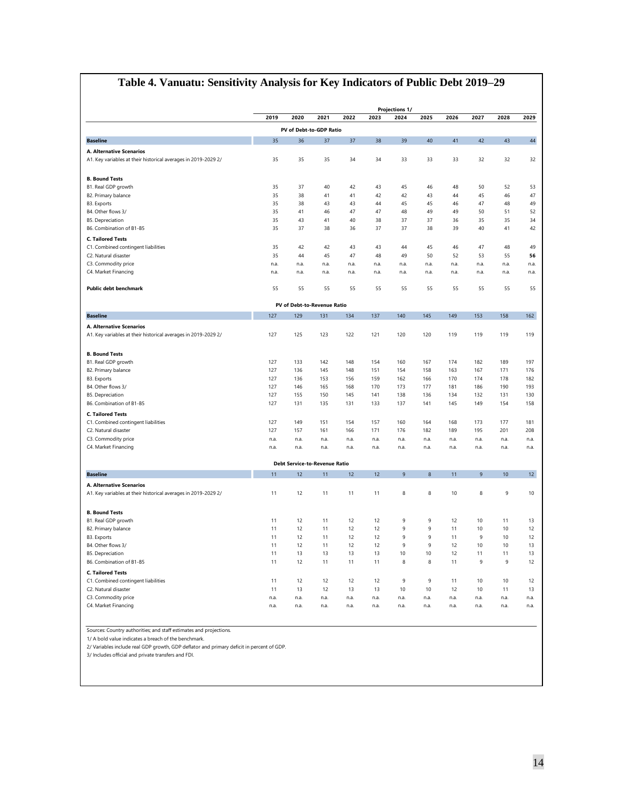## **Table 4. Vanuatu: Sensitivity Analysis for Key Indicators of Public Debt 2019–29**

|                                                                                            |      |                                      |      |      |      | <b>Projections 1/</b> |                  |      |      |      |      |
|--------------------------------------------------------------------------------------------|------|--------------------------------------|------|------|------|-----------------------|------------------|------|------|------|------|
|                                                                                            | 2019 | 2020                                 | 2021 | 2022 | 2023 | 2024                  | 2025             | 2026 | 2027 | 2028 | 2029 |
|                                                                                            |      | PV of Debt-to-GDP Ratio              |      |      |      |                       |                  |      |      |      |      |
| <b>Baseline</b>                                                                            | 35   | 36                                   | 37   | 37   | 38   | 39                    | 40               | 41   | 42   | 43   | 44   |
| A. Alternative Scenarios                                                                   |      |                                      |      |      |      |                       |                  |      |      |      |      |
| A1. Key variables at their historical averages in 2019-2029 2/                             | 35   | 35                                   | 35   | 34   | 34   | 33                    | 33               | 33   | 32   | 32   | 32   |
| <b>B. Bound Tests</b>                                                                      |      |                                      |      |      |      |                       |                  |      |      |      |      |
| B1. Real GDP growth                                                                        | 35   | 37                                   | 40   | 42   | 43   | 45                    | 46               | 48   | 50   | 52   | 53   |
| B2. Primary balance                                                                        | 35   | 38                                   | 41   | 41   | 42   | 42                    | 43               | 44   | 45   | 46   | 47   |
| B3. Exports                                                                                | 35   | 38                                   | 43   | 43   | 44   | 45                    | 45               | 46   | 47   | 48   | 49   |
| B4. Other flows 3/                                                                         | 35   | 41                                   | 46   | 47   | 47   | 48                    | 49               | 49   | 50   | 51   | 52   |
| <b>B5.</b> Depreciation                                                                    | 35   | 43                                   | 41   | 40   | 38   | 37                    | 37               | 36   | 35   | 35   | 34   |
| B6. Combination of B1-B5                                                                   | 35   | 37                                   | 38   | 36   | 37   | 37                    | 38               | 39   | 40   | 41   | 42   |
| <b>C. Tailored Tests</b>                                                                   |      |                                      |      |      |      |                       |                  |      |      |      |      |
| C1. Combined contingent liabilities                                                        | 35   | 42                                   | 42   | 43   | 43   | 44                    | 45               | 46   | 47   | 48   | 49   |
| C2. Natural disaster                                                                       | 35   | 44                                   | 45   | 47   | 48   | 49                    | 50               | 52   | 53   | 55   | 56   |
| C3. Commodity price                                                                        | n.a. | n.a.                                 | n.a. | n.a. | n.a. | n.a.                  | n.a.             | n.a. | n.a. | n.a. | n.a. |
| C4. Market Financing                                                                       | n.a. | n.a.                                 | n.a. | n.a. | n.a. | n.a.                  | n.a.             | n.a. | n.a. | n.a. | n.a. |
| <b>Public debt benchmark</b>                                                               | 55   | 55                                   | 55   | 55   | 55   | 55                    | 55               | 55   | 55   | 55   | 55   |
|                                                                                            |      | PV of Debt-to-Revenue Ratio          |      |      |      |                       |                  |      |      |      |      |
| <b>Baseline</b>                                                                            | 127  | 129                                  | 131  | 134  | 137  | 140                   | 145              | 149  | 153  | 158  | 162  |
| A. Alternative Scenarios<br>A1. Key variables at their historical averages in 2019-2029 2/ | 127  | 125                                  | 123  | 122  | 121  | 120                   | 120              | 119  | 119  | 119  | 119  |
| <b>B. Bound Tests</b>                                                                      |      |                                      |      |      |      |                       |                  |      |      |      |      |
| B1. Real GDP growth                                                                        | 127  | 133                                  | 142  | 148  | 154  | 160                   | 167              | 174  | 182  | 189  | 197  |
| B2. Primary balance                                                                        | 127  | 136                                  | 145  | 148  | 151  | 154                   | 158              | 163  | 167  | 171  | 176  |
| B3. Exports                                                                                | 127  | 136                                  | 153  | 156  | 159  | 162                   | 166              | 170  | 174  | 178  | 182  |
| B4. Other flows 3/                                                                         | 127  | 146                                  | 165  | 168  | 170  | 173                   | 177              | 181  | 186  | 190  | 193  |
| <b>B5. Depreciation</b>                                                                    | 127  | 155                                  | 150  | 145  | 141  | 138                   | 136              | 134  | 132  | 131  | 130  |
| B6. Combination of B1-B5                                                                   | 127  | 131                                  | 135  | 131  | 133  | 137                   | 141              | 145  | 149  | 154  | 158  |
| <b>C. Tailored Tests</b>                                                                   |      |                                      |      |      |      |                       |                  |      |      |      |      |
| C1. Combined contingent liabilities                                                        | 127  | 149                                  | 151  | 154  | 157  | 160                   | 164              | 168  | 173  | 177  | 181  |
| C2. Natural disaster                                                                       | 127  | 157                                  | 161  | 166  | 171  | 176                   | 182              | 189  | 195  | 201  | 208  |
| C3. Commodity price                                                                        | n.a. | n.a.                                 | n.a. | n.a. | n.a. | n.a.                  | n.a.             | n.a. | n.a. | n.a. | n.a. |
| C4. Market Financing                                                                       | n.a. | n.a.                                 | n.a. | n.a. | n.a. | n.a.                  | n.a.             | n.a. | n.a. | n.a. | n.a. |
|                                                                                            |      | <b>Debt Service-to-Revenue Ratio</b> |      |      |      |                       |                  |      |      |      |      |
| <b>Baseline</b>                                                                            | 11   | 12                                   | 11   | 12   | 12   | $\overline{9}$        | $\boldsymbol{8}$ | 11   | 9    | 10   | 12   |
| A. Alternative Scenarios                                                                   |      |                                      |      |      |      |                       |                  |      |      |      |      |
| A1. Key variables at their historical averages in 2019-2029 2/                             | 11   | 12                                   | 11   | 11   | 11   | 8                     | 8                | 10   | 8    | 9    | 10   |
| <b>B. Bound Tests</b>                                                                      |      |                                      |      |      |      |                       |                  |      |      |      |      |
| B1. Real GDP growth                                                                        | 11   | 12                                   | 11   | 12   | 12   | 9                     | 9                | 12   | 10   | 11   | 13   |
| B2. Primary balance                                                                        | 11   | 12                                   | 11   | 12   | 12   | 9                     | $\mathsf g$      | 11   | 10   | 10   | 12   |
| B3. Exports                                                                                | 11   | 12                                   | 11   | 12   | 12   | 9                     | $\overline{9}$   | 11   | 9    | 10   | 12   |
| B4. Other flows 3/                                                                         | 11   | 12                                   | 11   | 12   | 12   | 9                     | 9                | 12   | 10   | 10   | 13   |
| <b>B5. Depreciation</b>                                                                    | 11   | 13                                   | 13   | 13   | 13   | 10                    | 10               | 12   | 11   | 11   | 13   |
| B6. Combination of B1-B5                                                                   | 11   | 12                                   | 11   | 11   | 11   | 8                     | 8                | 11   | 9    | 9    | 12   |
| <b>C. Tailored Tests</b>                                                                   |      |                                      |      |      |      |                       |                  |      |      |      |      |
| C1. Combined contingent liabilities                                                        | 11   | 12                                   | 12   | 12   | 12   | 9                     | $\overline{9}$   | 11   | 10   | 10   | 12   |
| C2. Natural disaster                                                                       | 11   | 13                                   | 12   | 13   | 13   | 10                    | 10               | 12   | 10   | 11   | 13   |
| C3. Commodity price                                                                        | n.a. | n.a.                                 | n.a. | n.a. | n.a. | n.a.                  | n.a.             | n.a. | n.a. | n.a. | n.a. |
| C4. Market Financing                                                                       | n.a. | n.a.                                 | n.a. | n.a. | n.a. | n.a.                  | n.a.             | n.a. | n.a. | n.a. | n.a. |

Sources: Country authorities; and staff estimates and projections.

1/ A bold value indicates a breach of the benchmark.

2/ Variables include real GDP growth, GDP deflator and primary deficit in percent of GDP.

3/ Includes official and private transfers and FDI.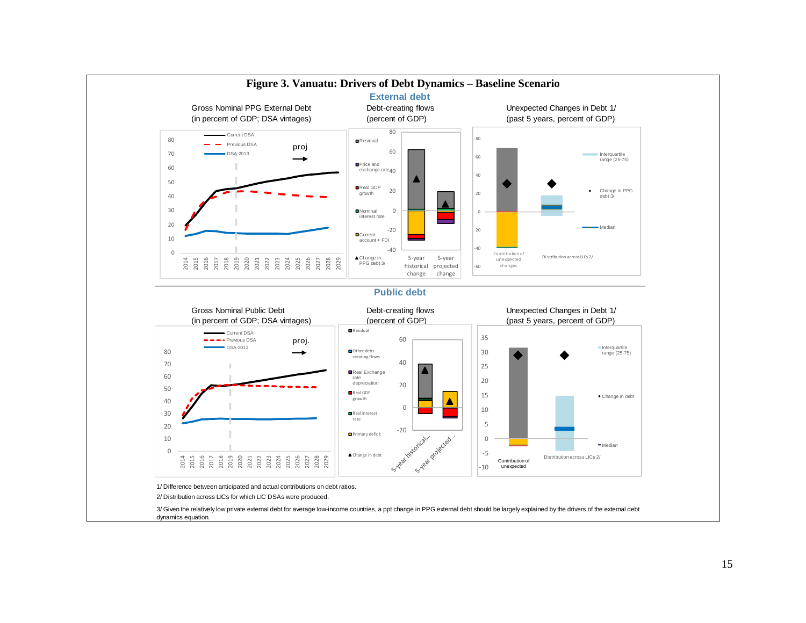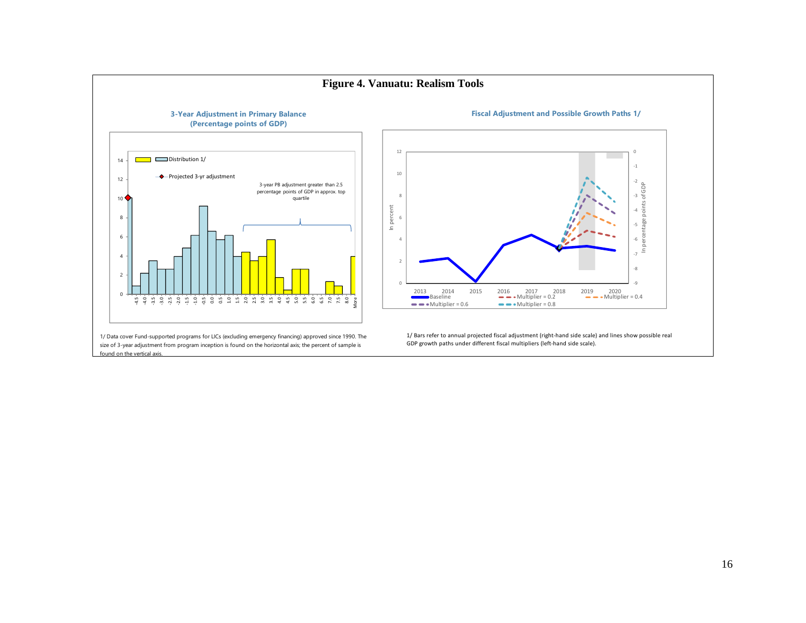